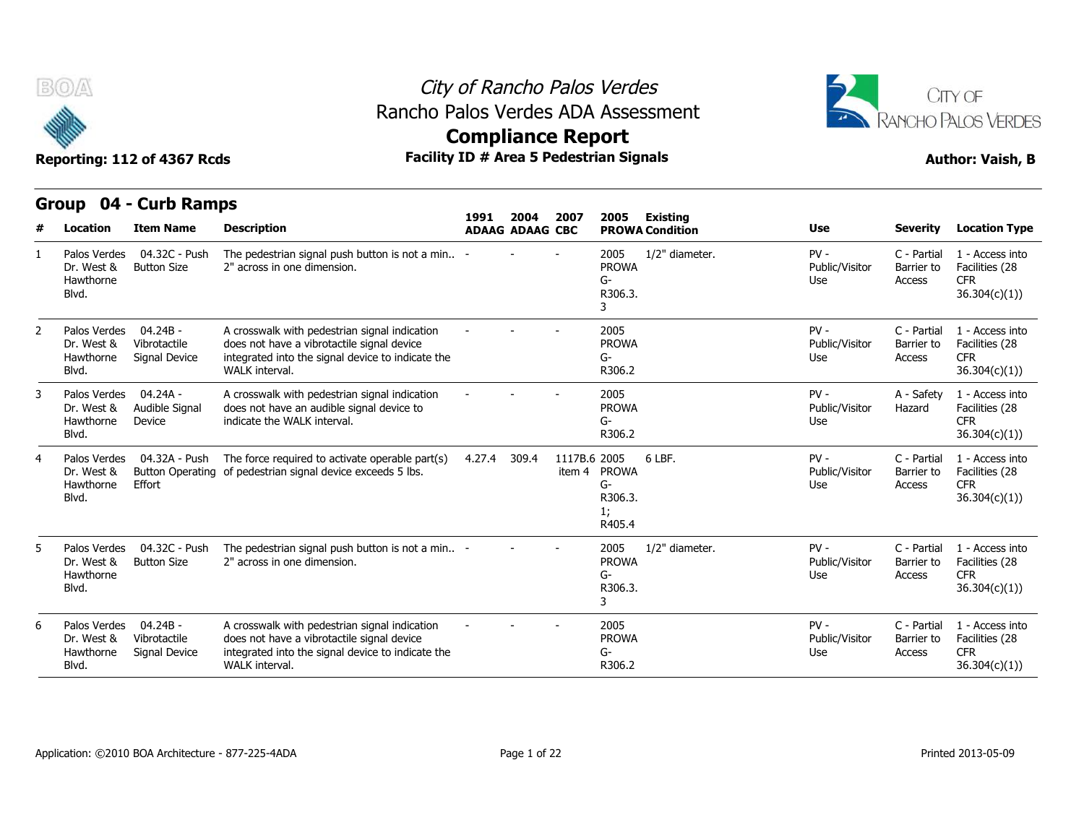

## City of Rancho Palos Verdes **Compliance Report** Rancho Palos Verdes ADA Assessment



| #             | <b>Location</b>                                  | <b>Item Name</b>                            | <b>Description</b>                                                                                                                                                        | 1991   | 2004<br><b>ADAAG ADAAG CBC</b> | 2007         | 2005                                          | Existing<br><b>PROWA Condition</b> | <b>Use</b>                      | <b>Severity</b>                     | <b>Location Type</b>                                             |
|---------------|--------------------------------------------------|---------------------------------------------|---------------------------------------------------------------------------------------------------------------------------------------------------------------------------|--------|--------------------------------|--------------|-----------------------------------------------|------------------------------------|---------------------------------|-------------------------------------|------------------------------------------------------------------|
|               | Palos Verdes<br>Dr. West &<br>Hawthorne<br>Blvd. | 04.32C - Push<br><b>Button Size</b>         | The pedestrian signal push button is not a min -<br>2" across in one dimension.                                                                                           |        |                                |              | 2005<br><b>PROWA</b><br>G-<br>R306.3.<br>3    | 1/2" diameter.                     | $PV -$<br>Public/Visitor<br>Use | C - Partial<br>Barrier to<br>Access | 1 - Access into<br>Facilities (28<br><b>CFR</b><br>36.304(c)(1)) |
| $\mathcal{P}$ | Palos Verdes<br>Dr. West &<br>Hawthorne<br>Blvd. | $04.24B -$<br>Vibrotactile<br>Signal Device | A crosswalk with pedestrian signal indication<br>does not have a vibrotactile signal device<br>integrated into the signal device to indicate the<br>WALK interval.        |        |                                |              | 2005<br><b>PROWA</b><br>G-<br>R306.2          |                                    | $PV -$<br>Public/Visitor<br>Use | C - Partial<br>Barrier to<br>Access | 1 - Access into<br>Facilities (28<br><b>CFR</b><br>36.304(c)(1)) |
| 3             | Palos Verdes<br>Dr. West &<br>Hawthorne<br>Blvd. | $04.24A -$<br>Audible Signal<br>Device      | A crosswalk with pedestrian signal indication<br>does not have an audible signal device to<br>indicate the WALK interval.                                                 |        |                                |              | 2005<br><b>PROWA</b><br>G-<br>R306.2          |                                    | $PV -$<br>Public/Visitor<br>Use | A - Safety<br>Hazard                | 1 - Access into<br>Facilities (28<br><b>CFR</b><br>36.304(c)(1)) |
| 4             | Palos Verdes<br>Dr. West &<br>Hawthorne<br>Blvd. | 04.32A - Push<br>Effort                     | The force required to activate operable part(s)<br>Button Operating of pedestrian signal device exceeds 5 lbs.                                                            | 4.27.4 | 309.4                          | 1117B.6 2005 | item 4 PROWA<br>G-<br>R306.3.<br>1;<br>R405.4 | 6 LBF.                             | $PV -$<br>Public/Visitor<br>Use | C - Partial<br>Barrier to<br>Access | 1 - Access into<br>Facilities (28<br><b>CFR</b><br>36.304(c)(1)  |
| 5.            | Palos Verdes<br>Dr. West &<br>Hawthorne<br>Blvd. | 04.32C - Push<br><b>Button Size</b>         | The pedestrian signal push button is not a min -<br>2" across in one dimension.                                                                                           |        |                                |              | 2005<br><b>PROWA</b><br>G-<br>R306.3.<br>3    | 1/2" diameter.                     | $PV -$<br>Public/Visitor<br>Use | C - Partial<br>Barrier to<br>Access | 1 - Access into<br>Facilities (28<br><b>CFR</b><br>36.304(c)(1)) |
| 6             | Palos Verdes<br>Dr. West &<br>Hawthorne<br>Blvd. | $04.24B -$<br>Vibrotactile<br>Signal Device | A crosswalk with pedestrian signal indication<br>does not have a vibrotactile signal device<br>integrated into the signal device to indicate the<br><b>WALK</b> interval. |        |                                |              | 2005<br><b>PROWA</b><br>G-<br>R306.2          |                                    | $PV -$<br>Public/Visitor<br>Use | C - Partial<br>Barrier to<br>Access | 1 - Access into<br>Facilities (28<br><b>CFR</b><br>36.304(c)(1)  |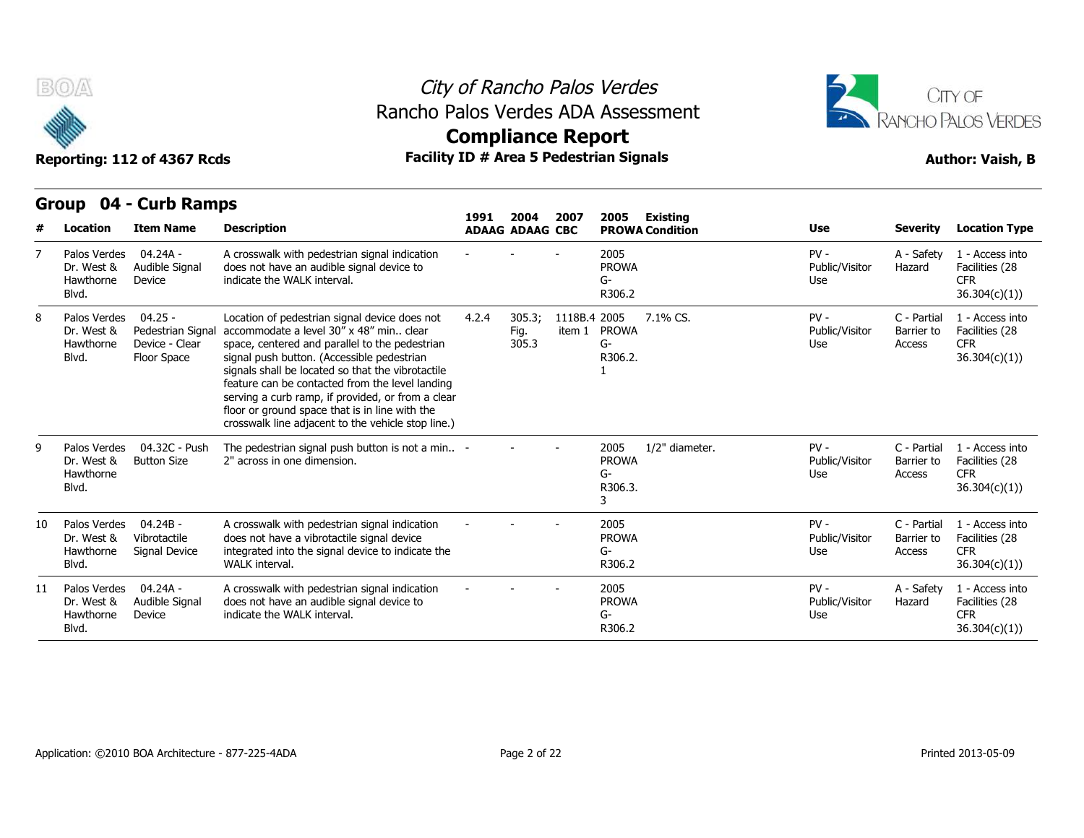



# **Compliance Report**

## **Group 04 - Curb Ramps Item Name Description 1991 ADAAG 2004 ADAAG CBC PROWA 2007 2005 Existing # Location Condition Use Severity Location Type**  $04.24A -$ Dr. West & Audible Signal does not Device indicate the WAI K interval. A crosswalk with pedestrian signal indication does not have an audible signal device to indicate the WALK interval. - - - <sup>2005</sup> PROWA G-R306.2 PV - A - Safety Public/Visitor Hazard Use A - Safety 1 - Access into Hazard Facilities (28 CFR 36.304(c)(1)) 7 Palos Verdes Hawthorne Blvd. 8 Palos Verdes 04.25 - Loca Dr. West & Pedestrian Signal accommodate a level 30" x 48" min.. clear Hawthorne Device - Clear space, ce Floor Space signal push button. (Accessible pedestrian Location of pedestrian signal device does not 4.2.4 305.3; space, centered and parallel to the pedestrian signals shall be located so that the vibrotactile feature can be contacted from the level landing serving a curb ramp, if provided, or from a clear floor or ground space that is in line with the crosswalk line adjacent to the vehicle stop line.) 4.2.4 305.3; 1118B.4 Fig. item 1 PROWA 305.3 2005 7.1% CS. PV - G-R306.2. 1 Public/Visitor Barrier to Use Access C - Partial 1 - Access into Barrier to Facilities (28 CFR 36.304(c)(1)) Blvd. Floor Space 04.32C - Push Button Size 2" across in one dimension. The pedestrian signal push button is not a min.. 2" across in one dimension. - - - <sup>2005</sup> PROWA G-R306.3. 3 1/2" diameter. The PV - PV - C - Partial Public/Visitor Barrier to Use Access C - Partial 1 - Access into Barrier to Facilities (28 CFR 36.304(c)(1)) 9 Palos Verdes Dr. West & Hawthorne Blvd. 04.24B - Vibrotactile Signal Device integrated into the signal device to indicate the A crosswalk with pedestrian signal indication does not have a vibrotactile signal device WALK interval. - - - <sup>2005</sup> PROWA G-R306.2 PV - C - Partial Public/Visitor Barrier to Use Access C - Partial 1 - Access into Barrier to Facilities (28 CFR 36.304(c)(1)) 10 Palos Verdes Dr. West & Hawthorne Signal Device Blvd. 11 Palos Verdes 04.24A - A cros Audible Signal Device **indicate the WALK interval.** A crosswalk with pedestrian signal indication does not have an audible signal device to indicate the WALK interval. - - - <sup>2005</sup> PROWA G-R306.2 PV - A - Safety Public/Visitor Use A - Safety 1 - Access into Hazard Facilities (28 CFR 36.304(c)(1)) Dr. West & Hawthorne Blvd.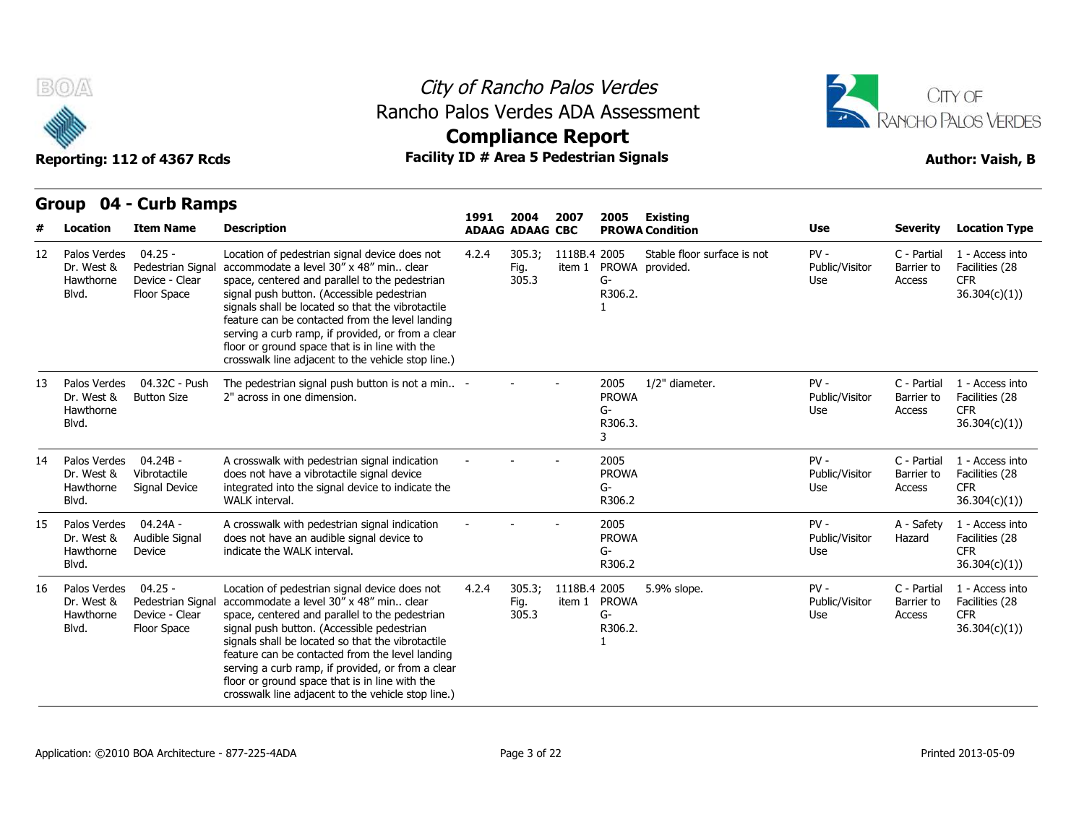

## City of Rancho Palos Verdes Rancho Palos Verdes ADA Assessment



| #  | Location                                         | <b>Item Name</b>                                                | <b>Description</b>                                                                                                                                                                                                                                                                                                                                                                                                                                            | 1991  | 2004<br><b>ADAAG ADAAG CBC</b> | 2007                   | 2005                                       | Existing<br><b>PROWA Condition</b>             | Use                             | <b>Severity</b>                     | <b>Location Type</b>                                             |
|----|--------------------------------------------------|-----------------------------------------------------------------|---------------------------------------------------------------------------------------------------------------------------------------------------------------------------------------------------------------------------------------------------------------------------------------------------------------------------------------------------------------------------------------------------------------------------------------------------------------|-------|--------------------------------|------------------------|--------------------------------------------|------------------------------------------------|---------------------------------|-------------------------------------|------------------------------------------------------------------|
| 12 | Palos Verdes<br>Dr. West &<br>Hawthorne<br>Blvd. | $04.25 -$<br>Pedestrian Signal<br>Device - Clear<br>Floor Space | Location of pedestrian signal device does not<br>accommodate a level 30" x 48" min clear<br>space, centered and parallel to the pedestrian<br>signal push button. (Accessible pedestrian<br>signals shall be located so that the vibrotactile<br>feature can be contacted from the level landing<br>serving a curb ramp, if provided, or from a clear<br>floor or ground space that is in line with the<br>crosswalk line adjacent to the vehicle stop line.) | 4.2.4 | 305.3;<br>Fig.<br>305.3        | 1118B.4 2005<br>item 1 | G-<br>R306.2.                              | Stable floor surface is not<br>PROWA provided. | $PV -$<br>Public/Visitor<br>Use | C - Partial<br>Barrier to<br>Access | 1 - Access into<br>Facilities (28<br><b>CFR</b><br>36.304(c)(1)  |
| 13 | Palos Verdes<br>Dr. West &<br>Hawthorne<br>Blvd. | 04.32C - Push<br><b>Button Size</b>                             | The pedestrian signal push button is not a min -<br>2" across in one dimension.                                                                                                                                                                                                                                                                                                                                                                               |       |                                |                        | 2005<br><b>PROWA</b><br>G-<br>R306.3.<br>3 | 1/2" diameter.                                 | $PV -$<br>Public/Visitor<br>Use | C - Partial<br>Barrier to<br>Access | 1 - Access into<br>Facilities (28<br><b>CFR</b><br>36.304(c)(1)) |
| 14 | Palos Verdes<br>Dr. West &<br>Hawthorne<br>Blvd. | $04.24B -$<br>Vibrotactile<br>Signal Device                     | A crosswalk with pedestrian signal indication<br>does not have a vibrotactile signal device<br>integrated into the signal device to indicate the<br>WALK interval.                                                                                                                                                                                                                                                                                            |       |                                |                        | 2005<br><b>PROWA</b><br>G-<br>R306.2       |                                                | $PV -$<br>Public/Visitor<br>Use | C - Partial<br>Barrier to<br>Access | 1 - Access into<br>Facilities (28<br><b>CFR</b><br>36.304(c)(1)  |
| 15 | Palos Verdes<br>Dr. West &<br>Hawthorne<br>Blvd. | 04.24A -<br>Audible Signal<br>Device                            | A crosswalk with pedestrian signal indication<br>does not have an audible signal device to<br>indicate the WALK interval.                                                                                                                                                                                                                                                                                                                                     |       |                                |                        | 2005<br><b>PROWA</b><br>G-<br>R306.2       |                                                | $PV -$<br>Public/Visitor<br>Use | A - Safety<br>Hazard                | 1 - Access into<br>Facilities (28<br><b>CFR</b><br>36.304(c)(1)) |
| 16 | Palos Verdes<br>Dr. West &<br>Hawthorne<br>Blvd. | $04.25 -$<br>Pedestrian Signal<br>Device - Clear<br>Floor Space | Location of pedestrian signal device does not<br>accommodate a level 30" x 48" min clear<br>space, centered and parallel to the pedestrian<br>signal push button. (Accessible pedestrian<br>signals shall be located so that the vibrotactile<br>feature can be contacted from the level landing<br>serving a curb ramp, if provided, or from a clear<br>floor or ground space that is in line with the<br>crosswalk line adjacent to the vehicle stop line.) | 4.2.4 | 305.3;<br>Fig.<br>305.3        | 1118B.4 2005           | item 1 PROWA<br>G-<br>R306.2.              | 5.9% slope.                                    | $PV -$<br>Public/Visitor<br>Use | C - Partial<br>Barrier to<br>Access | 1 - Access into<br>Facilities (28<br><b>CFR</b><br>36.304(c)(1)) |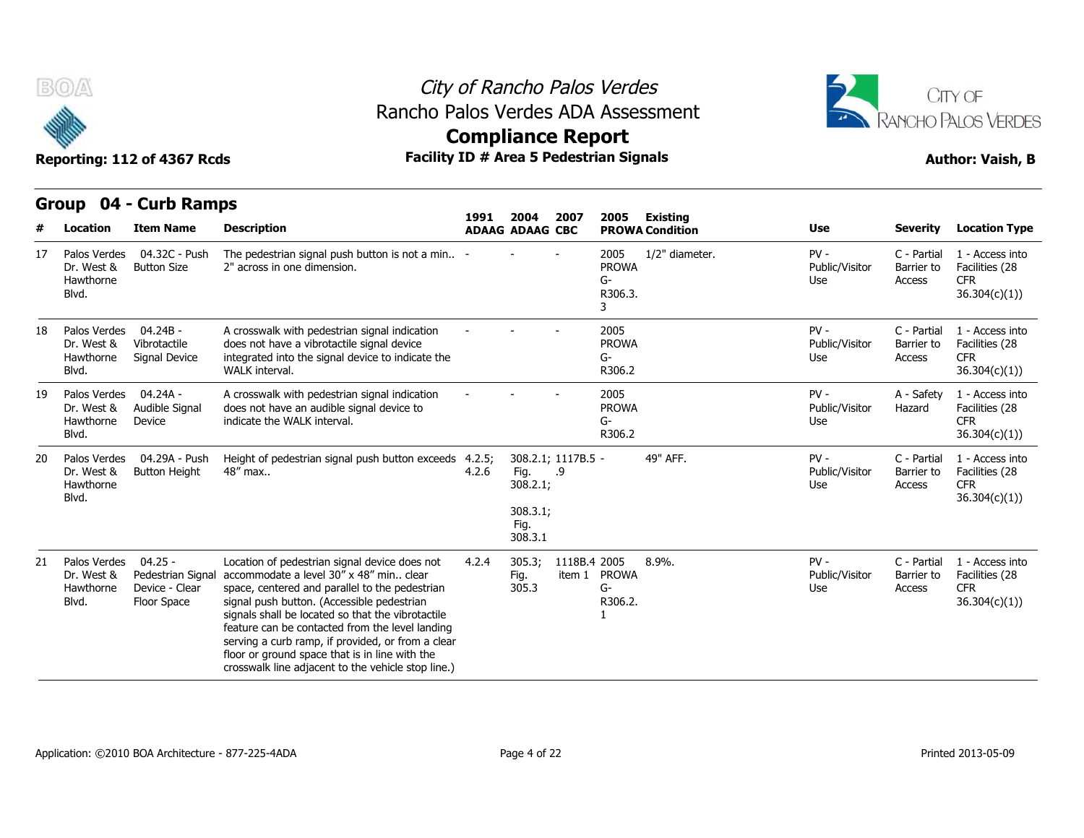



**Reporting: 112 of 4367 Rcds Facility ID # Area 5 Pedestrian Signals Author: Vaish, B Compliance Report**

## **Group 04 - Curb Ramps Item Name Description 1991 ADAAG 2004 ADAAG CBC PROWA 2007 2005 Existing # Location Condition Use Severity Location Type** 04.32C - Push 2" across in one dimension. The pedestrian signal push button is not a min.. 2" across in one dimension. - - - <sup>2005</sup> PROWA G-R306.3. 3 1/2" diameter. 
PV - 
C - Partial Public/Visitor Barrier to Use Access C - Partial 1 - Access into Barrier to Facilities (28 CFR 36.304(c)(1)) 17 Palos Verdes Dr. West & Hawthorne Blvd. 04.24B - Dr. West & Vibrotactile does n Signal Device integrated into the signal device to indicate the A crosswalk with pedestrian signal indication does not have a vibrotactile signal device WALK interval. - - - <sup>2005</sup> PROWA G-R306.2 PV - C - Partial Public/Visitor Use Access C - Partial 1 - Access into Barrier to Facilities (28 CFR 36.304(c)(1)) 18 Palos Verdes Hawthorne Signal Device Blvd. 19 Palos Verdes 04.24A - A cros Audible Signal Device indicate the WALK interval. A crosswalk with pedestrian signal indication indicate the WALK interval. - - - <sup>2005</sup> does not have an audible signal device to PROWA G-R306.2 PV - A - Safety Public/Visitor Use A - Safety 1 - Access into Hazard Facilities (28 **CFR** 36.304(c)(1)) Dr. West & Hawthorne Blvd. 20 Palos Verdes 04.29A - Push Height of p Button Height Height of pedestrian signal push button exceeds 4.2.5; 48" max.. 4.2.5; 308.2.1; 1117B.5 4.2.6 Fig. .9 Fig. 308.2.1; 308.3.1; Fig. 308.3.1 .9 49" AFF. The C - Partial Public/Visitor Use Access C - Partial 1 - Access into Barrier to Facilities (28 **CFR** 36.304(c)(1)) Dr. West & Hawthorne Blvd.  $04.25 -$ Pedestrian Signal accommodate a level 30" x 48" min.. clear Device - Clear Floor Space signal push button. (Accessible pedestrian Location of pedestrian signal device does not 4.2.4 305.3; space, centered and parallel to the pedestrian signals shall be located so that the vibrotactile feature can be contacted from the level landing serving a curb ramp, if provided, or from a clear floor or ground space that is in line with the crosswalk line adjacent to the vehicle stop line.) 4.2.4 305.3; 1118B.4 Fig. item 1 PROWA 305.3 8.9% G-R306.2. 1 8.9%. PV - Public/Visitor Use Access C - Partial 1 - Access into Barrier to Facilities (28 **CFR** 36.304(c)(1)) 21 Palos Verdes Dr. West & Hawthorne Blvd. Floor Space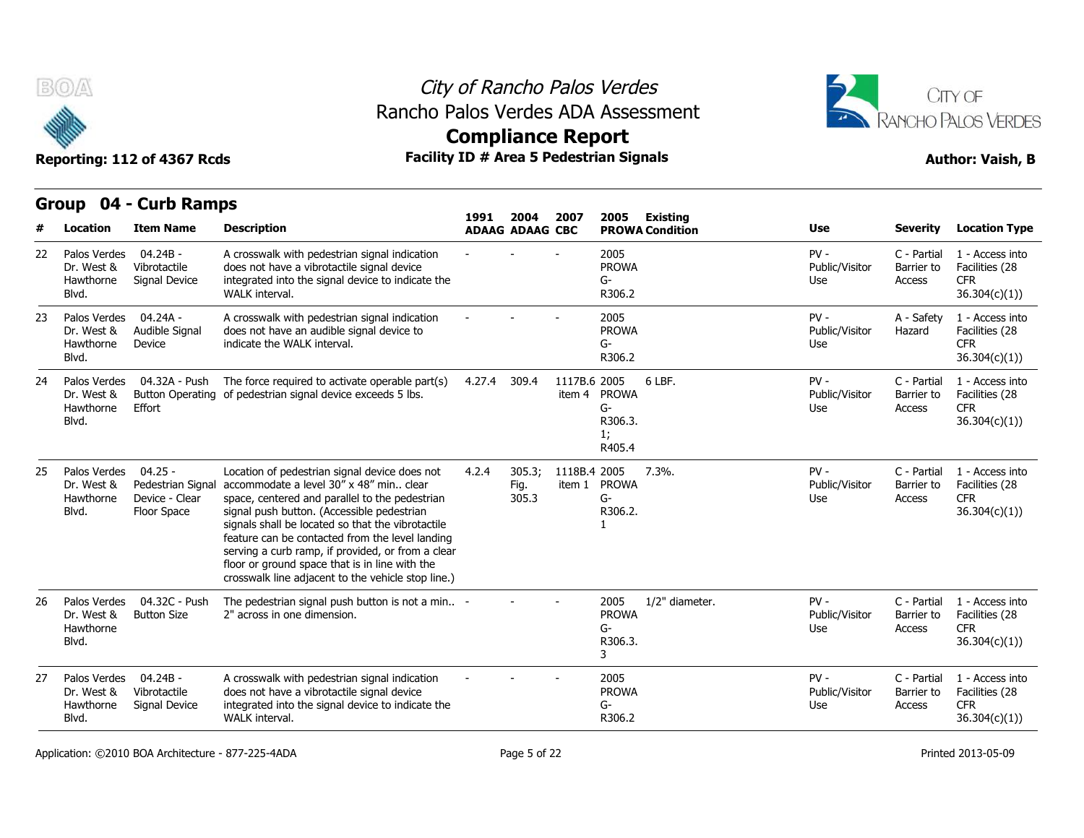

## City of Rancho Palos Verdes Rancho Palos Verdes ADA Assessment



**Compliance Report**

|    | uuup<br>דש<br><b>Location</b>                    | <b>CAID RAILDS</b><br><b>Item Name</b>                          | <b>Description</b>                                                                                                                                                                                                                                                                                                                                                                                                                                            | 1991   | 2004<br><b>ADAAG ADAAG CBC</b> | 2007         | 2005<br><b>Existing</b><br><b>PROWA Condition</b>            | <b>Use</b>                      | <b>Severity</b>                     | <b>Location Type</b>                                            |
|----|--------------------------------------------------|-----------------------------------------------------------------|---------------------------------------------------------------------------------------------------------------------------------------------------------------------------------------------------------------------------------------------------------------------------------------------------------------------------------------------------------------------------------------------------------------------------------------------------------------|--------|--------------------------------|--------------|--------------------------------------------------------------|---------------------------------|-------------------------------------|-----------------------------------------------------------------|
| 22 | Palos Verdes                                     | $04.24B -$                                                      | A crosswalk with pedestrian signal indication                                                                                                                                                                                                                                                                                                                                                                                                                 |        |                                |              | 2005                                                         | $PV -$                          | C - Partial                         | 1 - Access into                                                 |
|    | Dr. West &<br>Hawthorne<br>Blvd.                 | Vibrotactile<br>Signal Device                                   | does not have a vibrotactile signal device<br>integrated into the signal device to indicate the<br>WALK interval.                                                                                                                                                                                                                                                                                                                                             |        |                                |              | <b>PROWA</b><br>G-<br>R306.2                                 | Public/Visitor<br>Use           | Barrier to<br>Access                | Facilities (28<br><b>CFR</b><br>36.304(c)(1))                   |
| 23 | Palos Verdes<br>Dr. West &<br>Hawthorne<br>Blvd. | 04.24A -<br>Audible Signal<br>Device                            | A crosswalk with pedestrian signal indication<br>does not have an audible signal device to<br>indicate the WALK interval.                                                                                                                                                                                                                                                                                                                                     |        |                                |              | 2005<br><b>PROWA</b><br>G-<br>R306.2                         | $PV -$<br>Public/Visitor<br>Use | A - Safety<br>Hazard                | 1 - Access into<br>Facilities (28<br><b>CFR</b><br>36.304(c)(1) |
| 24 | Palos Verdes<br>Dr. West &<br>Hawthorne<br>Blvd. | 04.32A - Push<br>Effort                                         | The force required to activate operable part(s)<br>Button Operating of pedestrian signal device exceeds 5 lbs.                                                                                                                                                                                                                                                                                                                                                | 4.27.4 | 309.4                          | 1117B.6 2005 | 6 LBF.<br>item 4 PROWA<br>G-<br>R306.3.<br>1;<br>R405.4      | $PV -$<br>Public/Visitor<br>Use | C - Partial<br>Barrier to<br>Access | 1 - Access into<br>Facilities (28<br><b>CFR</b><br>36.304(c)(1) |
| 25 | Palos Verdes<br>Dr. West &<br>Hawthorne<br>Blvd. | $04.25 -$<br>Pedestrian Signal<br>Device - Clear<br>Floor Space | Location of pedestrian signal device does not<br>accommodate a level 30" x 48" min clear<br>space, centered and parallel to the pedestrian<br>signal push button. (Accessible pedestrian<br>signals shall be located so that the vibrotactile<br>feature can be contacted from the level landing<br>serving a curb ramp, if provided, or from a clear<br>floor or ground space that is in line with the<br>crosswalk line adjacent to the vehicle stop line.) | 4.2.4  | 305.3;<br>Fig.<br>305.3        | 1118B.4 2005 | $7.3\%$ .<br>item 1 PROWA<br>G-<br>R306.2.                   | $PV -$<br>Public/Visitor<br>Use | C - Partial<br>Barrier to<br>Access | 1 - Access into<br>Facilities (28<br><b>CFR</b><br>36.304(c)(1) |
| 26 | Palos Verdes<br>Dr. West &<br>Hawthorne<br>Blvd. | 04.32C - Push<br><b>Button Size</b>                             | The pedestrian signal push button is not a min -<br>2" across in one dimension.                                                                                                                                                                                                                                                                                                                                                                               |        |                                |              | 1/2" diameter.<br>2005<br><b>PROWA</b><br>G-<br>R306.3.<br>3 | $PV -$<br>Public/Visitor<br>Use | C - Partial<br>Barrier to<br>Access | 1 - Access into<br>Facilities (28<br><b>CFR</b><br>36.304(c)(1) |
| 27 | Palos Verdes<br>Dr. West &<br>Hawthorne<br>Blvd. | $04.24B -$<br>Vibrotactile<br>Signal Device                     | A crosswalk with pedestrian signal indication<br>does not have a vibrotactile signal device<br>integrated into the signal device to indicate the<br>WALK interval.                                                                                                                                                                                                                                                                                            |        |                                |              | 2005<br><b>PROWA</b><br>G-<br>R306.2                         | $PV -$<br>Public/Visitor<br>Use | C - Partial<br>Barrier to<br>Access | 1 - Access into<br>Facilities (28<br><b>CFR</b><br>36.304(c)(1) |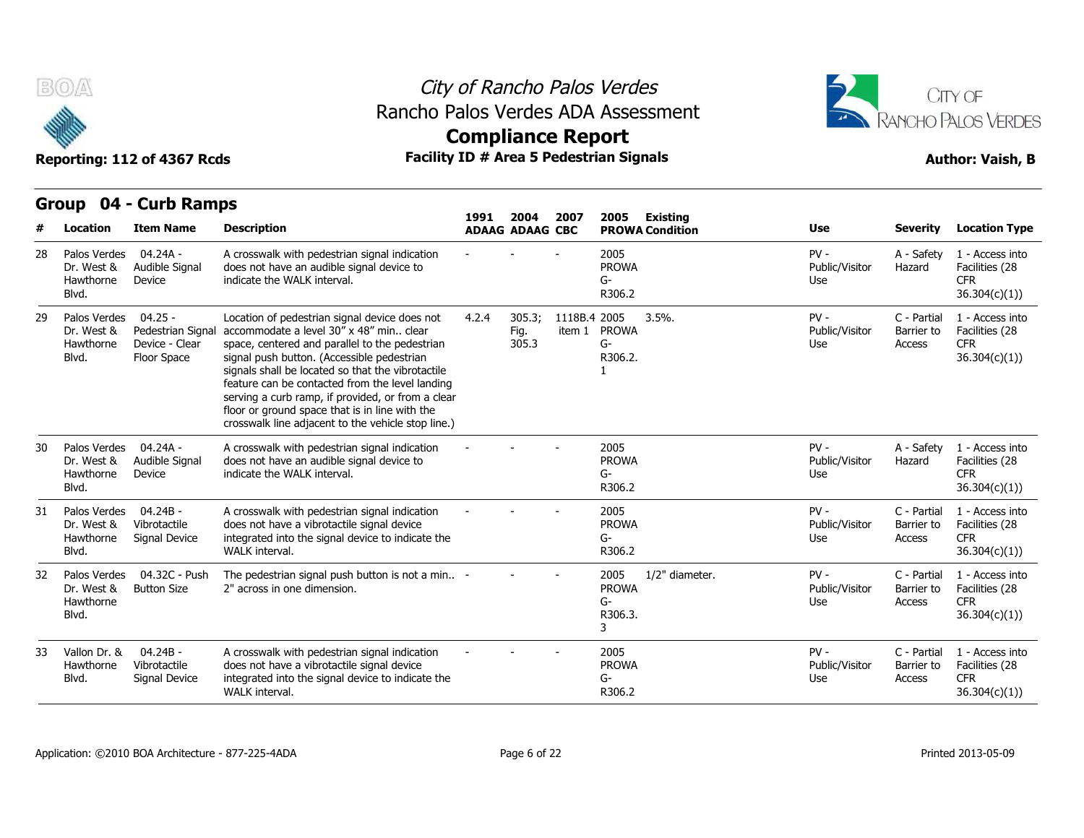



# **Compliance Report**

## **Group 04 - Curb Ramps Item Name Description 1991 ADAAG 2004 ADAAG CBC PROWA 2007 2005 Existing # Location Condition Use Severity Location Type** 04.24A - Dr. West & Audible Signal does not Device indicate the WAI K interval. A crosswalk with pedestrian signal indication does not have an audible signal device to indicate the WALK interval. - - - <sup>2005</sup> PROWA G-R306.2 PV - A - Safety Public/Visitor Hazard Use A - Safety 1 - Access into Hazard Facilities (28 CFR 36.304(c)(1)) 28 Palos Verdes Hawthorne Blvd. 29 Palos Verdes 04.25 - Loca Dr. West & Pedestrian Signal accommodate a level 30" x 48" min.. clear Hawthorne Device - Clear space, ce Floor Space signal push button. (Accessible pedestrian Location of pedestrian signal device does not 4.2.4 305.3; space, centered and parallel to the pedestrian signals shall be located so that the vibrotactile feature can be contacted from the level landing serving a curb ramp, if provided, or from a clear floor or ground space that is in line with the crosswalk line adjacent to the vehicle stop line.) 4.2.4 305.3; 1118B.4 Fig. item 1 PROWA 305.3 3.5% G-R306.2. 1  $3.5\%$ . PV -  $\qquad \qquad$  ( Public/Visitor Barrier to Use Access C - Partial 1 - Access into Barrier to Facilities (28 CFR 36.304(c)(1)) Blvd. Floor Space 04.24A - Dr. West & Audible Signal does not Device indicate the WALK interval. A crosswalk with pedestrian signal indication does not have an audible signal device to indicate the WALK interval. - - - <sup>2005</sup> PROWA G-R306.2 PV - A - Safety Public/Visitor Use A - Safety 1 - Access into Hazard Facilities (28 CFR 36.304(c)(1)) 30 Palos Verdes Hawthorne Blvd. 04.24B - Dr. West & Vibrotactile does n Signal Device integrated into the signal device to indicate the A crosswalk with pedestrian signal indication does not have a vibrotactile signal device A crosswalk with pedestrian signal indication and the crosswalk with pedestrian signal device<br>does not have a vibrotactile signal device<br>integrated into the signal device to indicate the G-<br>WALK interval. PROWA G-R306.2 PV - C - Partial Public/Visitor Barrier to Use Access C - Partial 1 - Access into Barrier to Facilities (28 CFR 36.304(c)(1)) 31 Palos Verdes Hawthorne Signal Device Blvd. 32 Palos Verdes 04.32C - Push The pedest 2" across in one dimension. The pedestrian signal push button is not a min.. 2" across in one dimension. - - - <sup>2005</sup> PROWA G-R306.3. 3 1/2" diameter. 
PV - 
C - Partial Public/Visitor Barrier to Use Access C - Partial 1 - Access into Barrier to Facilities (28 CFR 36.304(c)(1)) Dr. West & Hawthorne Blvd. 04.24B - Hawthorne Vibrotactile does n Signal Device integrated into the signal device to indicate the A crosswalk with pedestrian signal indication does not have a vibrotactile signal device WALK interval. - - - <sup>2005</sup> PROWA G-R306.2 PV - C - Partial Public/Visitor Use Access C - Partial 1 - Access into Barrier to Facilities (28 CFR 36.304(c)(1)) 33 Vallon Dr. & Blvd. Signal Device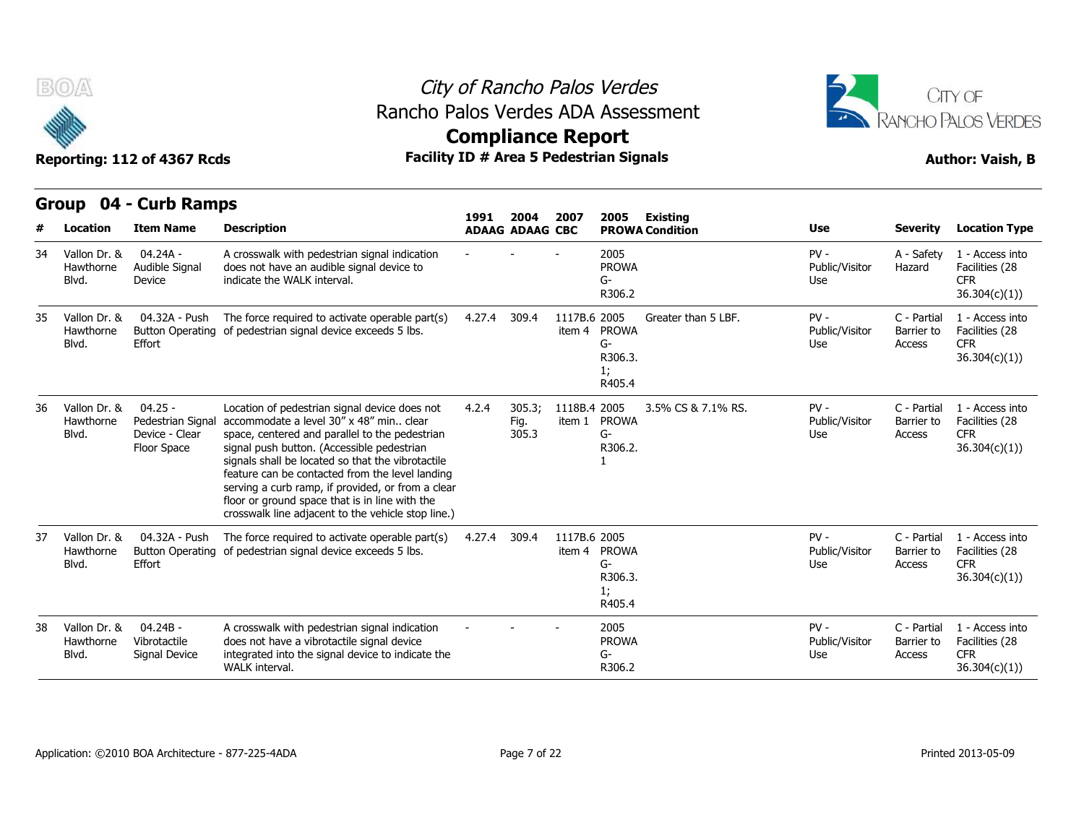



Reporting: 112 of 4367 Rcds **Facility ID # Area 5 Pedestrian Signals Reporting: 112 of 4367 Rcds Author: Vaish, B Compliance Report**

|    |                                    | STOUP OF CUID NAMES                                            |                                                                                                                                                                                                                                                                                                                                                                                                                                                                 | 1991   | 2004                    | 2007                   | 2005                                          | Existing               |                                        |                                     |                                                                  |
|----|------------------------------------|----------------------------------------------------------------|-----------------------------------------------------------------------------------------------------------------------------------------------------------------------------------------------------------------------------------------------------------------------------------------------------------------------------------------------------------------------------------------------------------------------------------------------------------------|--------|-------------------------|------------------------|-----------------------------------------------|------------------------|----------------------------------------|-------------------------------------|------------------------------------------------------------------|
| #  | <b>Location</b>                    | <b>Item Name</b>                                               | <b>Description</b>                                                                                                                                                                                                                                                                                                                                                                                                                                              |        | <b>ADAAG ADAAG CBC</b>  |                        |                                               | <b>PROWA Condition</b> | <b>Use</b>                             | <b>Severity</b>                     | <b>Location Type</b>                                             |
| 34 | Vallon Dr. &<br>Hawthorne<br>Blvd. | 04.24A -<br>Audible Signal<br>Device                           | A crosswalk with pedestrian signal indication<br>does not have an audible signal device to<br>indicate the WALK interval.                                                                                                                                                                                                                                                                                                                                       |        |                         |                        | 2005<br><b>PROWA</b><br>G-<br>R306.2          |                        | $PV -$<br>Public/Visitor<br>Use        | A - Safety<br>Hazard                | 1 - Access into<br>Facilities (28<br><b>CFR</b><br>36.304(c)(1)  |
| 35 | Vallon Dr. &<br>Hawthorne<br>Blvd. | 04.32A - Push<br>Effort                                        | The force required to activate operable part(s)<br>Button Operating of pedestrian signal device exceeds 5 lbs.                                                                                                                                                                                                                                                                                                                                                  | 4.27.4 | 309.4                   | 1117B.6 2005           | item 4 PROWA<br>G-<br>R306.3.<br>1;<br>R405.4 | Greater than 5 LBF.    | $PV -$<br>Public/Visitor<br>Use        | C - Partial<br>Barrier to<br>Access | 1 - Access into<br>Facilities (28<br><b>CFR</b><br>36.304(c)(1)) |
| 36 | Vallon Dr. &<br>Hawthorne<br>Blvd. | $04.25 -$<br>Pedestrian Signa<br>Device - Clear<br>Floor Space | Location of pedestrian signal device does not<br>accommodate a level 30" x 48" min., clear<br>space, centered and parallel to the pedestrian<br>signal push button. (Accessible pedestrian<br>signals shall be located so that the vibrotactile<br>feature can be contacted from the level landing<br>serving a curb ramp, if provided, or from a clear<br>floor or ground space that is in line with the<br>crosswalk line adjacent to the vehicle stop line.) | 4.2.4  | 305.3:<br>Fig.<br>305.3 | 1118B.4 2005<br>item 1 | <b>PROWA</b><br>$G-$<br>R306.2.               | 3.5% CS & 7.1% RS.     | $PV -$<br>Public/Visitor<br>Use        | C - Partial<br>Barrier to<br>Access | 1 - Access into<br>Facilities (28<br><b>CFR</b><br>36.304(c)(1)  |
| 37 | Vallon Dr. &<br>Hawthorne<br>Blvd. | 04.32A - Push<br>Effort                                        | The force required to activate operable part(s)<br>Button Operating of pedestrian signal device exceeds 5 lbs.                                                                                                                                                                                                                                                                                                                                                  | 4.27.4 | 309.4                   | 1117B.6 2005           | item 4 PROWA<br>G-<br>R306.3.<br>1;<br>R405.4 |                        | $PV -$<br>Public/Visitor<br>Use        | C - Partial<br>Barrier to<br>Access | 1 - Access into<br>Facilities (28<br><b>CFR</b><br>36.304(c)(1)  |
| 38 | Vallon Dr. &<br>Hawthorne<br>Blvd. | $04.24B -$<br>Vibrotactile<br>Signal Device                    | A crosswalk with pedestrian signal indication<br>does not have a vibrotactile signal device<br>integrated into the signal device to indicate the<br>WALK interval.                                                                                                                                                                                                                                                                                              |        |                         |                        | 2005<br><b>PROWA</b><br>G-<br>R306.2          |                        | $PV -$<br>Public/Visitor<br><b>Use</b> | C - Partial<br>Barrier to<br>Access | 1 - Access into<br>Facilities (28<br><b>CFR</b><br>36.304(c)(1)  |

**Group 04 - Curb Ramps**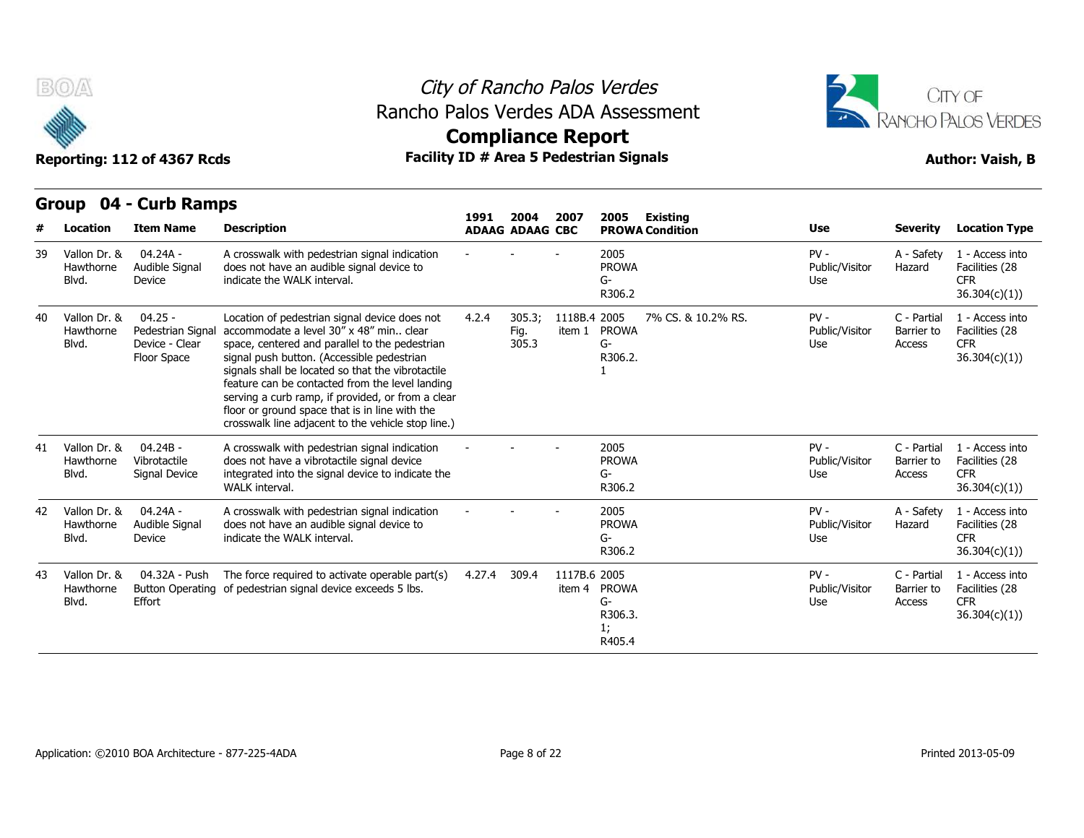

## City of Rancho Palos Verdes Rancho Palos Verdes ADA Assessment



**Compliance Report**

|    | urvup<br>$\mathbf{v}$              | <b>CALD RAILPS</b>                                              |                                                                                                                                                                                                                                                                                                                                                                                                                                                                 | 1991   | 2004                    | 2007                   | 2005                                          | Existing               |                                 |                                     |                                                                  |
|----|------------------------------------|-----------------------------------------------------------------|-----------------------------------------------------------------------------------------------------------------------------------------------------------------------------------------------------------------------------------------------------------------------------------------------------------------------------------------------------------------------------------------------------------------------------------------------------------------|--------|-------------------------|------------------------|-----------------------------------------------|------------------------|---------------------------------|-------------------------------------|------------------------------------------------------------------|
| #  | Location                           | <b>Item Name</b>                                                | <b>Description</b>                                                                                                                                                                                                                                                                                                                                                                                                                                              |        | <b>ADAAG ADAAG CBC</b>  |                        |                                               | <b>PROWA Condition</b> | <b>Use</b>                      | <b>Severity</b>                     | <b>Location Type</b>                                             |
| 39 | Vallon Dr. &<br>Hawthorne<br>Blvd. | $04.24A -$<br>Audible Signal<br>Device                          | A crosswalk with pedestrian signal indication<br>does not have an audible signal device to<br>indicate the WALK interval.                                                                                                                                                                                                                                                                                                                                       |        |                         |                        | 2005<br><b>PROWA</b><br>G-<br>R306.2          |                        | $PV -$<br>Public/Visitor<br>Use | A - Safety<br>Hazard                | 1 - Access into<br>Facilities (28<br><b>CFR</b><br>36.304(c)(1)) |
| 40 | Vallon Dr. &<br>Hawthorne<br>Blvd. | $04.25 -$<br>Pedestrian Signal<br>Device - Clear<br>Floor Space | Location of pedestrian signal device does not<br>accommodate a level 30" x 48" min., clear<br>space, centered and parallel to the pedestrian<br>signal push button. (Accessible pedestrian<br>signals shall be located so that the vibrotactile<br>feature can be contacted from the level landing<br>serving a curb ramp, if provided, or from a clear<br>floor or ground space that is in line with the<br>crosswalk line adjacent to the vehicle stop line.) | 4.2.4  | 305.3;<br>Fig.<br>305.3 | 1118B.4 2005<br>item 1 | <b>PROWA</b><br>$G-$<br>R306.2.               | 7% CS, & 10.2% RS.     | $PV -$<br>Public/Visitor<br>Use | C - Partial<br>Barrier to<br>Access | 1 - Access into<br>Facilities (28<br><b>CFR</b><br>36.304(c)(1)) |
| 41 | Vallon Dr. &<br>Hawthorne<br>Blvd. | $04.24B -$<br>Vibrotactile<br>Signal Device                     | A crosswalk with pedestrian signal indication<br>does not have a vibrotactile signal device<br>integrated into the signal device to indicate the<br><b>WALK</b> interval.                                                                                                                                                                                                                                                                                       |        |                         |                        | 2005<br><b>PROWA</b><br>G-<br>R306.2          |                        | $PV -$<br>Public/Visitor<br>Use | C - Partial<br>Barrier to<br>Access | 1 - Access into<br>Facilities (28<br><b>CFR</b><br>36.304(c)(1)) |
| 42 | Vallon Dr. &<br>Hawthorne<br>Blvd. | 04.24A -<br>Audible Signal<br>Device                            | A crosswalk with pedestrian signal indication<br>does not have an audible signal device to<br>indicate the WALK interval.                                                                                                                                                                                                                                                                                                                                       |        |                         |                        | 2005<br><b>PROWA</b><br>G-<br>R306.2          |                        | $PV -$<br>Public/Visitor<br>Use | A - Safety<br>Hazard                | 1 - Access into<br>Facilities (28<br><b>CFR</b><br>36.304(c)(1)) |
| 43 | Vallon Dr. &<br>Hawthorne<br>Blvd. | 04.32A - Push<br>Effort                                         | The force required to activate operable part(s)<br>Button Operating of pedestrian signal device exceeds 5 lbs.                                                                                                                                                                                                                                                                                                                                                  | 4.27.4 | 309.4                   | 1117B.6 2005           | item 4 PROWA<br>G-<br>R306.3.<br>1;<br>R405.4 |                        | $PV -$<br>Public/Visitor<br>Use | C - Partial<br>Barrier to<br>Access | 1 - Access into<br>Facilities (28<br><b>CFR</b><br>36.304(c)(1)  |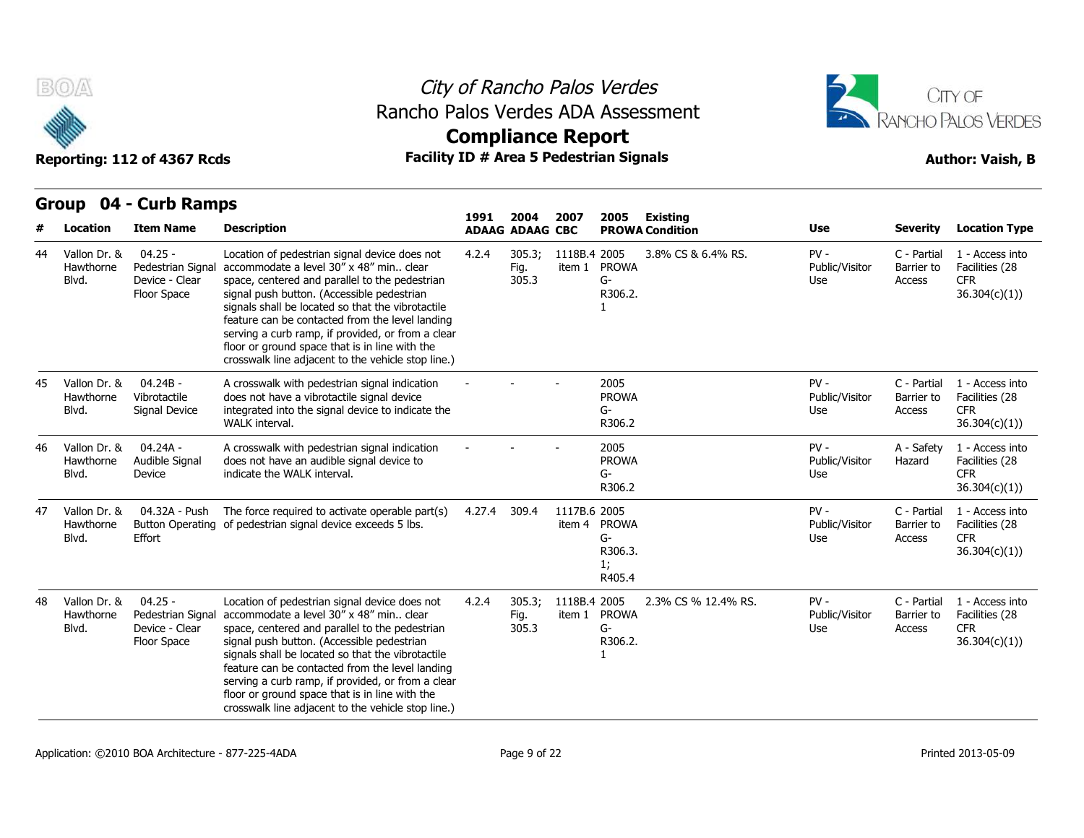

## City of Rancho Palos Verdes Rancho Palos Verdes ADA Assessment



# **Compliance Report**

|    |                                    |                                                                 |                                                                                                                                                                                                                                                                                                                                                                                                                                                               | 1991   | 2004                    | 2007                   | 2005                                          | <b>Existing</b>        |                                 |                                     |                                                                  |
|----|------------------------------------|-----------------------------------------------------------------|---------------------------------------------------------------------------------------------------------------------------------------------------------------------------------------------------------------------------------------------------------------------------------------------------------------------------------------------------------------------------------------------------------------------------------------------------------------|--------|-------------------------|------------------------|-----------------------------------------------|------------------------|---------------------------------|-------------------------------------|------------------------------------------------------------------|
|    | Location                           | <b>Item Name</b>                                                | <b>Description</b>                                                                                                                                                                                                                                                                                                                                                                                                                                            |        | <b>ADAAG ADAAG CBC</b>  |                        |                                               | <b>PROWA Condition</b> | <b>Use</b>                      | <b>Severity</b>                     | <b>Location Type</b>                                             |
| 44 | Vallon Dr. &<br>Hawthorne<br>Blvd. | $04.25 -$<br>Pedestrian Signal<br>Device - Clear<br>Floor Space | Location of pedestrian signal device does not<br>accommodate a level 30" x 48" min clear<br>space, centered and parallel to the pedestrian<br>signal push button. (Accessible pedestrian<br>signals shall be located so that the vibrotactile<br>feature can be contacted from the level landing<br>serving a curb ramp, if provided, or from a clear<br>floor or ground space that is in line with the<br>crosswalk line adjacent to the vehicle stop line.) | 4.2.4  | 305.3;<br>Fig.<br>305.3 | 1118B.4 2005<br>item 1 | <b>PROWA</b><br>G-<br>R306.2.                 | 3.8% CS & 6.4% RS.     | $PV -$<br>Public/Visitor<br>Use | C - Partial<br>Barrier to<br>Access | 1 - Access into<br>Facilities (28<br><b>CFR</b><br>36.304(c)(1)) |
| 45 | Vallon Dr. &<br>Hawthorne<br>Blvd. | $04.24B -$<br>Vibrotactile<br>Signal Device                     | A crosswalk with pedestrian signal indication<br>does not have a vibrotactile signal device<br>integrated into the signal device to indicate the<br>WALK interval.                                                                                                                                                                                                                                                                                            |        |                         |                        | 2005<br><b>PROWA</b><br>G-<br>R306.2          |                        | $PV -$<br>Public/Visitor<br>Use | C - Partial<br>Barrier to<br>Access | 1 - Access into<br>Facilities (28<br><b>CFR</b><br>36.304(c)(1)) |
| 46 | Vallon Dr. &<br>Hawthorne<br>Blvd. | 04.24A -<br>Audible Signal<br>Device                            | A crosswalk with pedestrian signal indication<br>does not have an audible signal device to<br>indicate the WALK interval.                                                                                                                                                                                                                                                                                                                                     |        |                         |                        | 2005<br><b>PROWA</b><br>G-<br>R306.2          |                        | $PV -$<br>Public/Visitor<br>Use | A - Safety<br>Hazard                | 1 - Access into<br>Facilities (28<br><b>CFR</b><br>36.304(c)(1)) |
| 47 | Vallon Dr. &<br>Hawthorne<br>Blvd. | 04.32A - Push<br><b>Button Operating</b><br>Effort              | The force required to activate operable part(s)<br>of pedestrian signal device exceeds 5 lbs.                                                                                                                                                                                                                                                                                                                                                                 | 4.27.4 | 309.4                   | 1117B.6 2005<br>item 4 | <b>PROWA</b><br>G-<br>R306.3.<br>1;<br>R405.4 |                        | $PV -$<br>Public/Visitor<br>Use | C - Partial<br>Barrier to<br>Access | 1 - Access into<br>Facilities (28<br><b>CFR</b><br>36.304(c)(1)  |
| 48 | Vallon Dr. &<br>Hawthorne<br>Blvd. | $04.25 -$<br>Pedestrian Signal<br>Device - Clear<br>Floor Space | Location of pedestrian signal device does not<br>accommodate a level 30" x 48" min clear<br>space, centered and parallel to the pedestrian<br>signal push button. (Accessible pedestrian<br>signals shall be located so that the vibrotactile<br>feature can be contacted from the level landing<br>serving a curb ramp, if provided, or from a clear<br>floor or ground space that is in line with the<br>crosswalk line adjacent to the vehicle stop line.) | 4.2.4  | 305.3;<br>Fig.<br>305.3 | 1118B.4 2005<br>item 1 | <b>PROWA</b><br>$G-$<br>R306.2.               | 2.3% CS % 12.4% RS.    | $PV -$<br>Public/Visitor<br>Use | C - Partial<br>Barrier to<br>Access | 1 - Access into<br>Facilities (28<br><b>CFR</b><br>36.304(c)(1)) |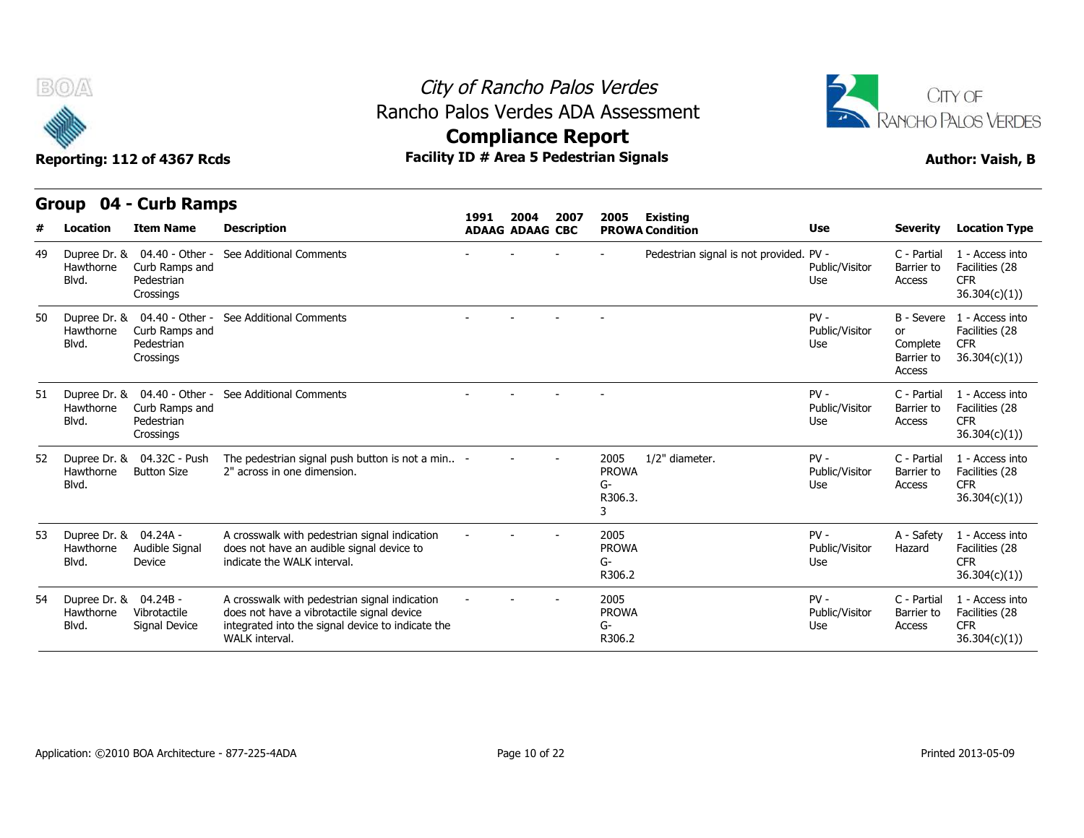

## City of Rancho Palos Verdes Rancho Palos Verdes ADA Assessment



|    | B(0)<br>Reporting: 112 of 4367 Rcds         |                                                                           | Rancho Palos Verdes ADA Assessment                                                                                                                                 | City of Rancho Palos Verdes<br><b>Compliance Report</b><br>Facility ID # Area 5 Pedestrian Signals |                        |      | CITY OF<br>RANCHO PALOS VERDES<br><b>Author: Vaish, B</b> |                                         |                                 |                                        |                                                                            |
|----|---------------------------------------------|---------------------------------------------------------------------------|--------------------------------------------------------------------------------------------------------------------------------------------------------------------|----------------------------------------------------------------------------------------------------|------------------------|------|-----------------------------------------------------------|-----------------------------------------|---------------------------------|----------------------------------------|----------------------------------------------------------------------------|
|    |                                             |                                                                           |                                                                                                                                                                    |                                                                                                    |                        |      |                                                           |                                         |                                 |                                        |                                                                            |
|    |                                             | Group 04 - Curb Ramps                                                     |                                                                                                                                                                    | 1991                                                                                               | 2004                   | 2007 | 2005                                                      | Existing                                |                                 |                                        |                                                                            |
|    | <b>Location</b>                             | <b>Item Name</b>                                                          | <b>Description</b>                                                                                                                                                 |                                                                                                    | <b>ADAAG ADAAG CBC</b> |      |                                                           | <b>PROWA Condition</b>                  | <b>Use</b>                      | <b>Severity</b>                        | <b>Location Type</b>                                                       |
| 49 | Hawthorne<br>Blvd.                          | Dupree Dr. & 04.40 - Other -<br>Curb Ramps and<br>Pedestrian<br>Crossings | See Additional Comments                                                                                                                                            |                                                                                                    |                        |      |                                                           | Pedestrian signal is not provided. PV - | Public/Visitor<br>Use           | C - Partial<br>Barrier to<br>Access    | 1 - Access into<br>Facilities (28<br>CFR.<br>36.304(c)(1)                  |
| 50 | Hawthorne<br>Blvd.                          | Dupree Dr. & 04.40 - Other -<br>Curb Ramps and<br>Pedestrian<br>Crossings | See Additional Comments                                                                                                                                            |                                                                                                    |                        |      |                                                           |                                         | $PV -$<br>Public/Visitor<br>Use | or<br>Complete<br>Barrier to<br>Access | B - Severe 1 - Access into<br>Facilities (28<br><b>CFR</b><br>36.304(c)(1) |
| 51 | Hawthorne<br>Blvd.                          | Dupree Dr. & 04.40 - Other -<br>Curb Ramps and<br>Pedestrian<br>Crossings | See Additional Comments                                                                                                                                            |                                                                                                    |                        |      |                                                           |                                         | $PV -$<br>Public/Visitor<br>Use | C - Partial<br>Barrier to<br>Access    | 1 - Access into<br>Facilities (28<br>CFR.<br>36.304(c)(1)                  |
| 52 | Hawthorne<br>Blvd.                          | Dupree Dr. & 04.32C - Push<br><b>Button Size</b>                          | The pedestrian signal push button is not a min -<br>2" across in one dimension.                                                                                    |                                                                                                    |                        |      | 2005<br><b>PROWA</b><br>$G-$<br>R306.3.<br>3              | 1/2" diameter.                          | $PV -$<br>Public/Visitor<br>Use | C - Partial<br>Barrier to<br>Access    | 1 - Access into<br>Facilities (28<br><b>CFR</b><br>36.304(c)(1)            |
| 53 | Dupree Dr. & 04.24A -<br>Hawthorne<br>Blvd. | Audible Signal<br>Device                                                  | A crosswalk with pedestrian signal indication<br>does not have an audible signal device to<br>indicate the WALK interval.                                          |                                                                                                    |                        |      | 2005<br><b>PROWA</b><br>G-<br>R306.2                      |                                         | $PV -$<br>Public/Visitor<br>Use | A - Safety<br>Hazard                   | 1 - Access into<br>Facilities (28<br><b>CFR</b><br>36.304(c)(1))           |
| 54 | Dupree Dr. & 04.24B -<br>Hawthorne<br>Blvd. | Vibrotactile<br>Signal Device                                             | A crosswalk with pedestrian signal indication<br>does not have a vibrotactile signal device<br>integrated into the signal device to indicate the<br>WALK interval. |                                                                                                    |                        |      | 2005<br><b>PROWA</b><br>G-<br>R306.2                      |                                         | $PV -$<br>Public/Visitor<br>Use | C - Partial<br>Barrier to<br>Access    | 1 - Access into<br>Facilities (28<br><b>CFR</b><br>36.304(c)(1)            |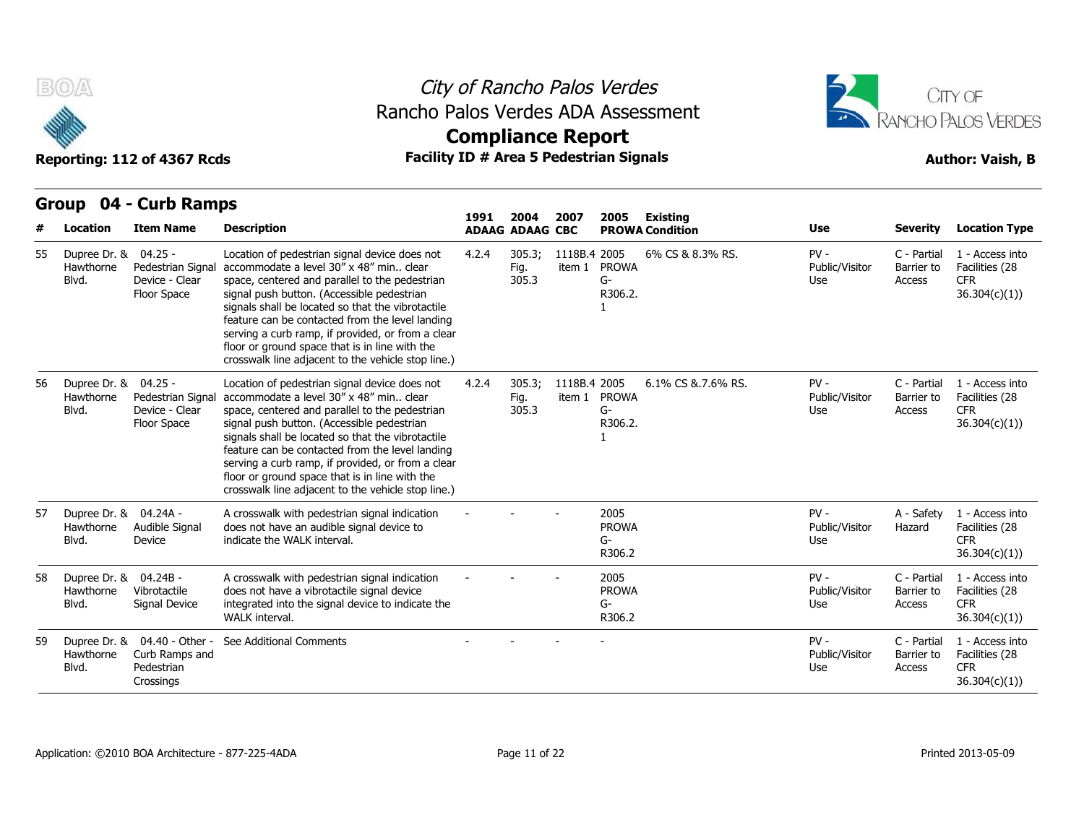

## City of Rancho Palos Verdes Rancho Palos Verdes ADA Assessment



# **Compliance Report**

| #  | <b>Location</b>                             | <b>Item Name</b>                                                          | <b>Description</b>                                                                                                                                                                                                                                                                                                                                                                                                                                            | 1991  | 2004<br><b>ADAAG ADAAG CBC</b> | 2007         | 2005                                 | Existing<br><b>PROWA Condition</b> | <b>Use</b>                      | <b>Severity</b>                     | <b>Location Type</b>                                            |
|----|---------------------------------------------|---------------------------------------------------------------------------|---------------------------------------------------------------------------------------------------------------------------------------------------------------------------------------------------------------------------------------------------------------------------------------------------------------------------------------------------------------------------------------------------------------------------------------------------------------|-------|--------------------------------|--------------|--------------------------------------|------------------------------------|---------------------------------|-------------------------------------|-----------------------------------------------------------------|
| 55 | Dupree Dr. &<br>Hawthorne<br>Blvd.          | $04.25 -$<br>Pedestrian Signal<br>Device - Clear<br>Floor Space           | Location of pedestrian signal device does not<br>accommodate a level 30" x 48" min clear<br>space, centered and parallel to the pedestrian<br>signal push button. (Accessible pedestrian<br>signals shall be located so that the vibrotactile<br>feature can be contacted from the level landing<br>serving a curb ramp, if provided, or from a clear<br>floor or ground space that is in line with the<br>crosswalk line adjacent to the vehicle stop line.) | 4.2.4 | 305.3;<br>Fig.<br>305.3        | 1118B.4 2005 | item 1 PROWA<br>G-<br>R306.2.        | 6% CS & 8.3% RS.                   | $PV -$<br>Public/Visitor<br>Use | C - Partial<br>Barrier to<br>Access | 1 - Access into<br>Facilities (28<br><b>CFR</b><br>36.304(c)(1) |
| 56 | Dupree Dr. &<br>Hawthorne<br>Blvd.          | $04.25 -$<br>Pedestrian Signa<br>Device - Clear<br>Floor Space            | Location of pedestrian signal device does not<br>accommodate a level 30" x 48" min clear<br>space, centered and parallel to the pedestrian<br>signal push button. (Accessible pedestrian<br>signals shall be located so that the vibrotactile<br>feature can be contacted from the level landing<br>serving a curb ramp, if provided, or from a clear<br>floor or ground space that is in line with the<br>crosswalk line adjacent to the vehicle stop line.) | 4.2.4 | 305.3;<br>Fig.<br>305.3        | 1118B.4 2005 | item 1 PROWA<br>G-<br>R306.2.        | 6.1% CS & 7.6% RS.                 | $PV -$<br>Public/Visitor<br>Use | C - Partial<br>Barrier to<br>Access | 1 - Access into<br>Facilities (28<br><b>CFR</b><br>36.304(c)(1) |
| 57 | Dupree Dr. & 04.24A -<br>Hawthorne<br>Blvd. | Audible Signal<br>Device                                                  | A crosswalk with pedestrian signal indication<br>does not have an audible signal device to<br>indicate the WALK interval.                                                                                                                                                                                                                                                                                                                                     |       |                                |              | 2005<br><b>PROWA</b><br>G-<br>R306.2 |                                    | $PV -$<br>Public/Visitor<br>Use | A - Safety<br>Hazard                | 1 - Access into<br>Facilities (28<br><b>CFR</b><br>36.304(c)(1) |
| 58 | Dupree Dr. & 04.24B -<br>Hawthorne<br>Blvd. | Vibrotactile<br>Signal Device                                             | A crosswalk with pedestrian signal indication<br>does not have a vibrotactile signal device<br>integrated into the signal device to indicate the<br>WALK interval.                                                                                                                                                                                                                                                                                            |       |                                |              | 2005<br><b>PROWA</b><br>G-<br>R306.2 |                                    | $PV -$<br>Public/Visitor<br>Use | C - Partial<br>Barrier to<br>Access | 1 - Access into<br>Facilities (28<br><b>CFR</b><br>36.304(c)(1) |
| 59 | Hawthorne<br>Blvd.                          | Dupree Dr. & 04.40 - Other -<br>Curb Ramps and<br>Pedestrian<br>Crossings | See Additional Comments                                                                                                                                                                                                                                                                                                                                                                                                                                       |       |                                |              |                                      |                                    | $PV -$<br>Public/Visitor<br>Use | C - Partial<br>Barrier to<br>Access | 1 - Access into<br>Facilities (28<br><b>CFR</b><br>36.304(c)(1) |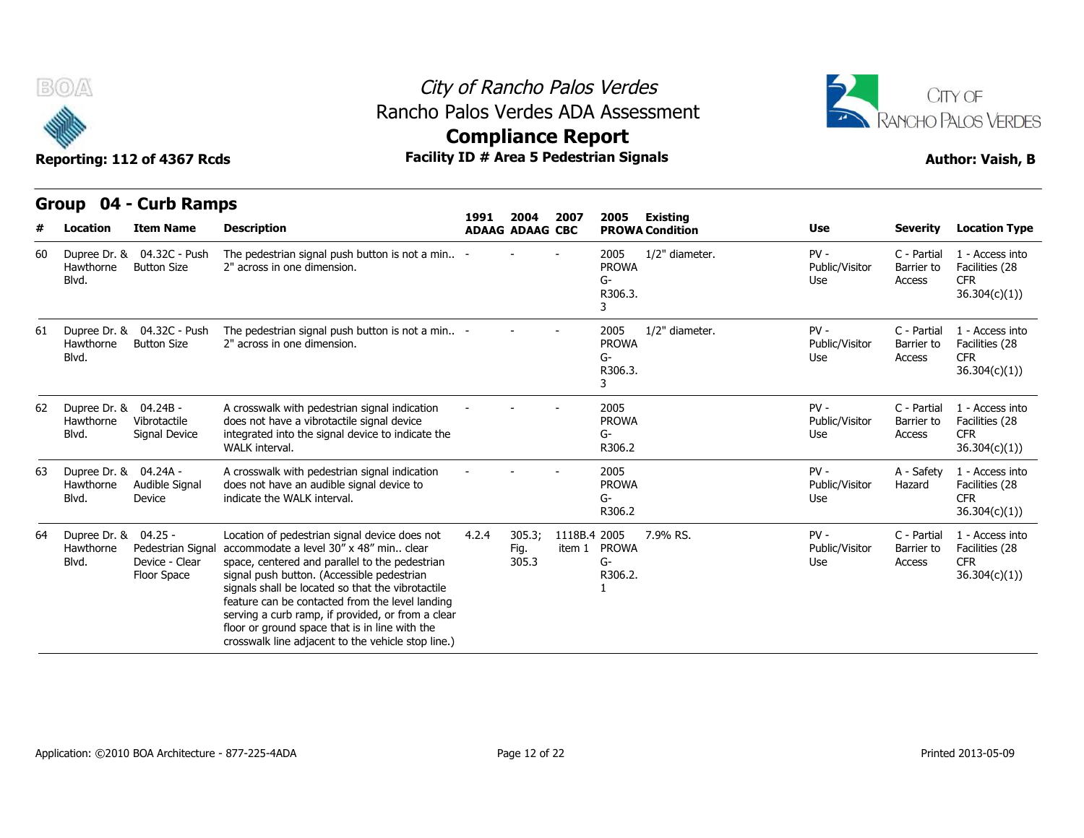



**Compliance Report**

## **Group 04 - Curb Ramps Item Name Description 1991 ADAAG 2004 ADAAG CBC PROWA 2007 2005 Existing # Location Condition Use Severity Location Type** 60 Dupree Dr. & 04.32C - Push The pedest 2" across in one dimension. The pedestrian signal push button is not a min.. 2" across in one dimension. - - - <sup>2005</sup> PROWA G-R306.3. 3 1/2" diameter. 
PV - 
C - Partial Public/Visitor Barrier to Use Access C - Partial 1 - Access into Barrier to Facilities (28 CFR 36.304(c)(1)) Hawthorne Button Size Blvd. 61 Dupree Dr. & 04.32C - Push The pedest 2" across in one dimension The pedestrian signal push button is not a min.. 2" across in one dimension. - - - <sup>2005</sup> PROWA G-R306.3. 3 1/2" diameter. 
PV - 
C - Partial Public/Visitor Use Access C - Partial 1 - Access into Barrier to Facilities (28 CFR 36.304(c)(1)) Hawthorne Button Size Blvd. 62 Dupree Dr. & 04.24B - A cros Vibrotactile Signal Device integrated into the signal device to indicate the A crosswalk with pedestrian signal indication does not have a vibrotactile signal device WALK interval. - - - <sup>2005</sup> PROWA G-R306.2 PV - C - Partial Public/Visitor Use Access C - Partial 1 - Access into Barrier to Facilities (28 CFR 36.304(c)(1)) Hawthorne Blvd. Signal Device 63 Dupree Dr. & 04.24A - A cros Hawthorne Audible Signal does not Device indicate the WALK interval A crosswalk with pedestrian signal indication does not have an audible signal device to indicate the WALK interval. - - - <sup>2005</sup> PROWA G-R306.2 PV - A - Safety Public/Visitor Use A - Safety 1 - Access into Hazard Facilities (28 **CFR** 36.304(c)(1)) Blvd. 64 Dupree Dr. & 04.25 - Loca Hawthorne Pedestrian Signal accommodate a level 30" x 48" min.. clear Device - Clear Floor Space signal push button. (Accessible pedestrian Location of pedestrian signal device does not 4.2.4 305.3; space, centered and parallel to the pedestrian signals shall be located so that the vibrotactile feature can be contacted from the level landing serving a curb ramp, if provided, or from a clear floor or ground space that is in line with the crosswalk line adjacent to the vehicle stop line.) 4.2.4 305.3; 1118B.4 Fig. item 1 PROWA 305.3 2005 7.9% RS. PV - G-R306.2. 1 Public/Visitor Use Access C - Partial 1 - Access into Barrier to Facilities (28 CFR 36.304(c)(1)) Blvd.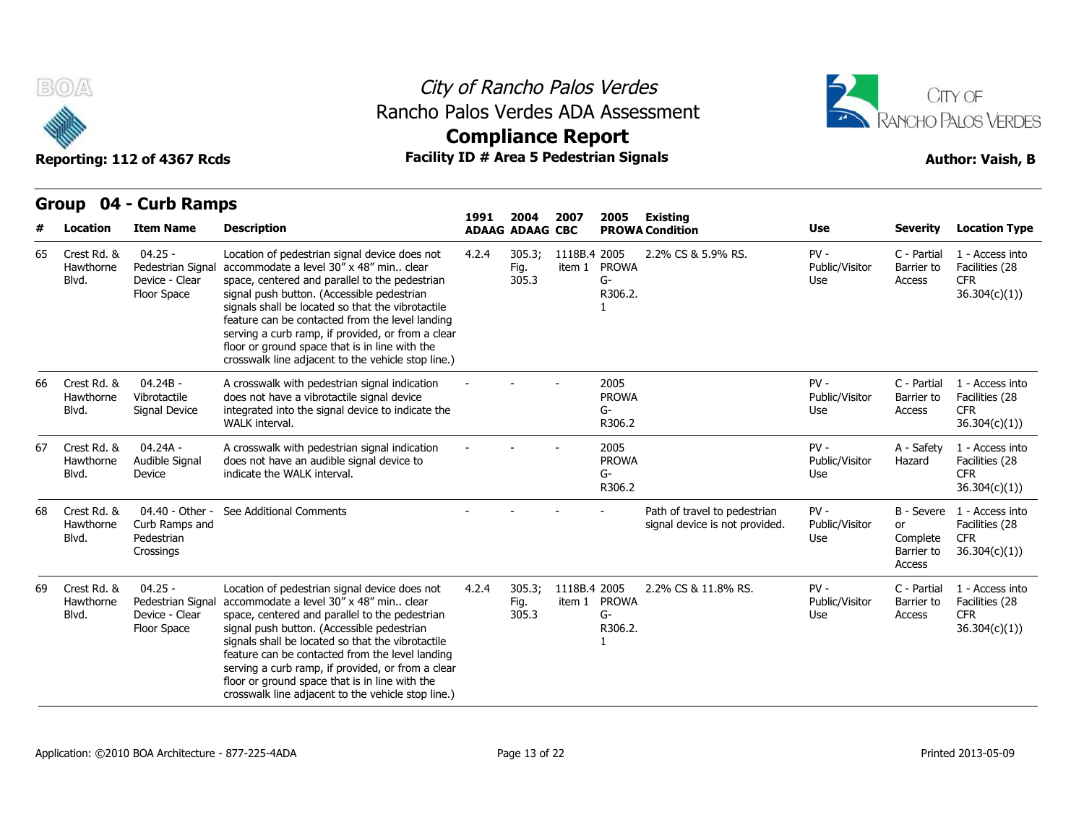

## City of Rancho Palos Verdes Rancho Palos Verdes ADA Assessment



# **Compliance Report**

| #  | <b>Location</b>                   | <b>Item Name</b>                                                | <b>Description</b>                                                                                                                                                                                                                                                                                                                                                                                                                                              | 1991  | 2004<br><b>ADAAG ADAAG CBC</b> | 2007                   | 2005                                 | Existing<br><b>PROWA Condition</b>                             | Use                             | <b>Severity</b>                                      | <b>Location Type</b>                                             |
|----|-----------------------------------|-----------------------------------------------------------------|-----------------------------------------------------------------------------------------------------------------------------------------------------------------------------------------------------------------------------------------------------------------------------------------------------------------------------------------------------------------------------------------------------------------------------------------------------------------|-------|--------------------------------|------------------------|--------------------------------------|----------------------------------------------------------------|---------------------------------|------------------------------------------------------|------------------------------------------------------------------|
| 65 | Crest Rd, &<br>Hawthorne<br>Blvd. | $04.25 -$<br>Pedestrian Signal<br>Device - Clear<br>Floor Space | Location of pedestrian signal device does not<br>accommodate a level 30" x 48" min., clear<br>space, centered and parallel to the pedestrian<br>signal push button. (Accessible pedestrian<br>signals shall be located so that the vibrotactile<br>feature can be contacted from the level landing<br>serving a curb ramp, if provided, or from a clear<br>floor or ground space that is in line with the<br>crosswalk line adjacent to the vehicle stop line.) | 4.2.4 | 305.3;<br>Fig.<br>305.3        | 1118B.4 2005<br>item 1 | <b>PROWA</b><br>G-<br>R306.2.        | 2.2% CS & 5.9% RS.                                             | $PV -$<br>Public/Visitor<br>Use | C - Partial<br>Barrier to<br>Access                  | 1 - Access into<br>Facilities (28<br><b>CFR</b><br>36.304(c)(1)  |
| 66 | Crest Rd. &<br>Hawthorne<br>Blvd. | 04.24B -<br>Vibrotactile<br>Signal Device                       | A crosswalk with pedestrian signal indication<br>does not have a vibrotactile signal device<br>integrated into the signal device to indicate the<br>WALK interval.                                                                                                                                                                                                                                                                                              |       |                                |                        | 2005<br><b>PROWA</b><br>G-<br>R306.2 |                                                                | $PV -$<br>Public/Visitor<br>Use | C - Partial<br>Barrier to<br>Access                  | 1 - Access into<br>Facilities (28<br><b>CFR</b><br>36.304(c)(1)) |
| 67 | Crest Rd, &<br>Hawthorne<br>Blvd. | $04.24A -$<br>Audible Signal<br>Device                          | A crosswalk with pedestrian signal indication<br>does not have an audible signal device to<br>indicate the WALK interval.                                                                                                                                                                                                                                                                                                                                       |       |                                |                        | 2005<br><b>PROWA</b><br>G-<br>R306.2 |                                                                | $PV -$<br>Public/Visitor<br>Use | A - Safety<br>Hazard                                 | 1 - Access into<br>Facilities (28<br><b>CFR</b><br>36.304(c)(1)  |
| 68 | Crest Rd, &<br>Hawthorne<br>Blvd. | 04.40 - Other -<br>Curb Ramps and<br>Pedestrian<br>Crossings    | See Additional Comments                                                                                                                                                                                                                                                                                                                                                                                                                                         |       |                                |                        |                                      | Path of travel to pedestrian<br>signal device is not provided. | $PV -$<br>Public/Visitor<br>Use | B - Severe<br>or<br>Complete<br>Barrier to<br>Access | 1 - Access into<br>Facilities (28<br><b>CFR</b><br>36.304(c)(1)  |
| 69 | Crest Rd, &<br>Hawthorne<br>Blvd. | $04.25 -$<br>Pedestrian Signal<br>Device - Clear<br>Floor Space | Location of pedestrian signal device does not<br>accommodate a level 30" x 48" min clear<br>space, centered and parallel to the pedestrian<br>signal push button. (Accessible pedestrian<br>signals shall be located so that the vibrotactile<br>feature can be contacted from the level landing<br>serving a curb ramp, if provided, or from a clear<br>floor or ground space that is in line with the<br>crosswalk line adjacent to the vehicle stop line.)   | 4.2.4 | 305.3;<br>Fig.<br>305.3        | 1118B.4 2005<br>item 1 | <b>PROWA</b><br>G-<br>R306.2.        | 2.2% CS & 11.8% RS.                                            | $PV -$<br>Public/Visitor<br>Use | C - Partial<br>Barrier to<br>Access                  | 1 - Access into<br>Facilities (28<br><b>CFR</b><br>36.304(c)(1)  |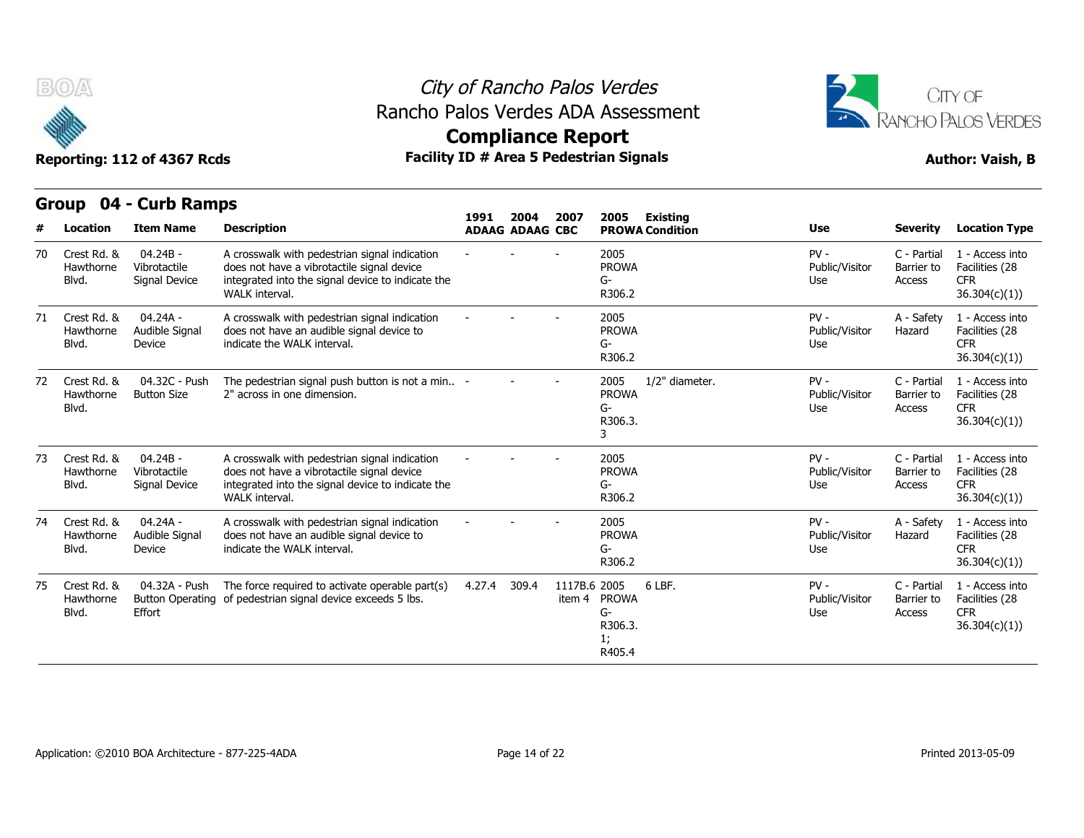



**Compliance Report**

## **Group 04 - Curb Ramps Item Name Description 1991 ADAAG 2004 ADAAG CBC PROWA 2007 2005 Existing # Location Condition Use Severity Location Type** 04.24B - Hawthorne Vibrotactile does n Signal Device integrated into the signal device to indicate the A crosswalk with pedestrian signal indication does not have a vibrotactile signal device WALK interval. - - - <sup>2005</sup> PROWA G-R306.2 PV - C - Partial Public/Visitor Barrier to Use Access C - Partial 1 - Access into Barrier to Facilities (28 CFR 36.304(c)(1)) 70 Crest Rd. & Blvd. Signal Device 04.24A - Hawthorne Audible Signal does not Device indicate the WAI K interval A crosswalk with pedestrian signal indication does not have an audible signal device to indicate the WALK interval. - - - <sup>2005</sup> PROWA G-R306.2 PV - A - Safety Public/Visitor Hazard Use A - Safety 1 - Access into Hazard Facilities (28 CFR 36.304(c)(1)) 71 Crest Rd. & Blvd. 04.32C - Push Button Size 2" across in one dimension The pedestrian signal push button is not a min.. 2" across in one dimension. - - - <sup>2005</sup> PROWA G-R306.3. 3 1/2" diameter. PV - C - Partial Public/Visitor Use Access C - Partial 1 - Access into Barrier to Facilities (28 CFR 36.304(c)(1)) 72 Crest Rd. & Hawthorne Blvd. 04.24B - Vibrotactile Signal Device integrated into the signal device to indicate the A crosswalk with pedestrian signal indication does not have a vibrotactile signal device WALK interval. - - - <sup>2005</sup> PROWA G-R306.2 PV - C - Partial Public/Visitor Use Access C - Partial 1 - Access into Barrier to Facilities (28 **CFR** 36.304(c)(1)) 73 Crest Rd. & Hawthorne Blvd. Signal Device 04.24A - Hawthorne Audible Signal does not Device indicate the WALK interval. A crosswalk with pedestrian signal indication does not have an audible signal device to indicate the WALK interval. - - - <sup>2005</sup> PROWA G-R306.2 PV - A - Safety Public/Visitor Use A - Safety 1 - Access into Hazard Facilities (28 CFR 36.304(c)(1)) 74 Crest Rd. & Blvd. 04.32A - Push Button Operating of pedestrian signal device exceeds 5 lbs. Effort The force required to activate operable part(s)  $4.27.4$  309.4 1117B.6 2005 item 4 PROWA 6 LBF. G-R306.3. 6 LBF. PV - Public/Visitor Barrier to Use Access C - Partial 1 - Access into Barrier to Facilities (28 CFR 36.304(c)(1)) 75 Crest Rd. & Hawthorne Blvd.

1; R405.4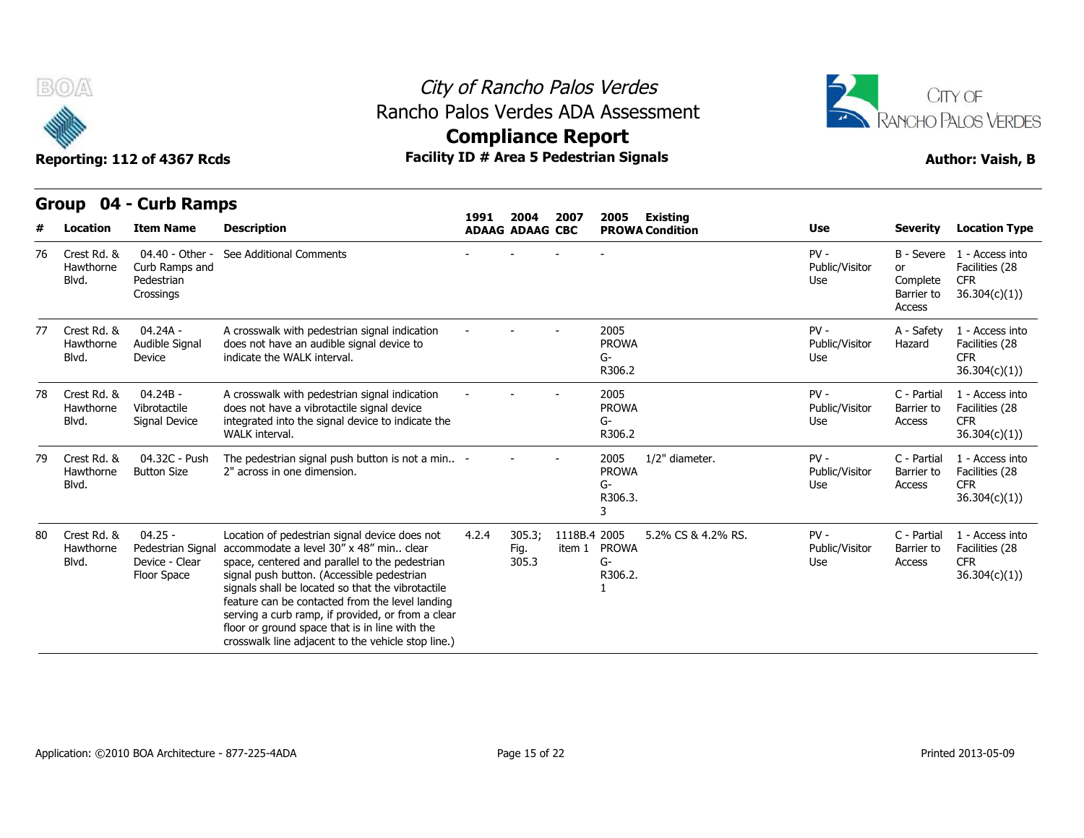



Reporting: 112 of 4367 Rcds **Facility ID # Area 5 Pedestrian Signals Reporting: 112 of 4367 Rcds Author: Vaish, B Compliance Report**

|    | $\mathbf{v}$ to $\mathbf{r}$      | <b>CALD INAILIPS</b>                                            |                                                                                                                                                                                                                                                                                                                                                                                                                                                                 | 1991                   | 2004                    | 2007                   | 2005                                    | <b>Existing</b>        |                                 |                                                      |                                                                  |
|----|-----------------------------------|-----------------------------------------------------------------|-----------------------------------------------------------------------------------------------------------------------------------------------------------------------------------------------------------------------------------------------------------------------------------------------------------------------------------------------------------------------------------------------------------------------------------------------------------------|------------------------|-------------------------|------------------------|-----------------------------------------|------------------------|---------------------------------|------------------------------------------------------|------------------------------------------------------------------|
| #  | Location                          | <b>Item Name</b>                                                | <b>Description</b>                                                                                                                                                                                                                                                                                                                                                                                                                                              | <b>ADAAG ADAAG CBC</b> |                         |                        |                                         | <b>PROWA Condition</b> | Use                             | Severity                                             | <b>Location Type</b>                                             |
| 76 | Crest Rd. &<br>Hawthorne<br>Blvd. | 04.40 - Other -<br>Curb Ramps and<br>Pedestrian<br>Crossings    | See Additional Comments                                                                                                                                                                                                                                                                                                                                                                                                                                         |                        |                         |                        |                                         |                        | $PV -$<br>Public/Visitor<br>Use | B - Severe<br>or<br>Complete<br>Barrier to<br>Access | 1 - Access into<br>Facilities (28<br><b>CFR</b><br>36.304(c)(1)  |
| 77 | Crest Rd, &<br>Hawthorne<br>Blvd. | 04.24A -<br>Audible Signal<br>Device                            | A crosswalk with pedestrian signal indication<br>does not have an audible signal device to<br>indicate the WALK interval.                                                                                                                                                                                                                                                                                                                                       |                        |                         |                        | 2005<br><b>PROWA</b><br>G-<br>R306.2    |                        | $PV -$<br>Public/Visitor<br>Use | A - Safety<br>Hazard                                 | 1 - Access into<br>Facilities (28<br><b>CFR</b><br>36.304(c)(1)) |
| 78 | Crest Rd. &<br>Hawthorne<br>Blvd. | $04.24B -$<br>Vibrotactile<br>Signal Device                     | A crosswalk with pedestrian signal indication<br>does not have a vibrotactile signal device<br>integrated into the signal device to indicate the<br><b>WALK</b> interval.                                                                                                                                                                                                                                                                                       |                        |                         |                        | 2005<br><b>PROWA</b><br>G-<br>R306.2    |                        | $PV -$<br>Public/Visitor<br>Use | C - Partial<br>Barrier to<br>Access                  | 1 - Access into<br>Facilities (28<br><b>CFR</b><br>36.304(c)(1)  |
| 79 | Crest Rd. &<br>Hawthorne<br>Blvd. | 04.32C - Push<br><b>Button Size</b>                             | The pedestrian signal push button is not a min -<br>2" across in one dimension.                                                                                                                                                                                                                                                                                                                                                                                 |                        |                         |                        | 2005<br><b>PROWA</b><br>$G-$<br>R306.3. | 1/2" diameter.         | $PV -$<br>Public/Visitor<br>Use | C - Partial<br>Barrier to<br>Access                  | 1 - Access into<br>Facilities (28<br><b>CFR</b><br>36.304(c)(1)  |
| 80 | Crest Rd. &<br>Hawthorne<br>Blvd. | $04.25 -$<br>Pedestrian Signal<br>Device - Clear<br>Floor Space | Location of pedestrian signal device does not<br>accommodate a level 30" x 48" min., clear<br>space, centered and parallel to the pedestrian<br>signal push button. (Accessible pedestrian<br>signals shall be located so that the vibrotactile<br>feature can be contacted from the level landing<br>serving a curb ramp, if provided, or from a clear<br>floor or ground space that is in line with the<br>crosswalk line adjacent to the vehicle stop line.) | 4.2.4                  | 305.3;<br>Fig.<br>305.3 | 1118B.4 2005<br>item 1 | <b>PROWA</b><br>$G-$<br>R306.2.         | 5.2% CS & 4.2% RS.     | $PV -$<br>Public/Visitor<br>Use | C - Partial<br>Barrier to<br>Access                  | 1 - Access into<br>Facilities (28<br><b>CFR</b><br>36.304(c)(1)  |

**Group 04 - Curb Ramps**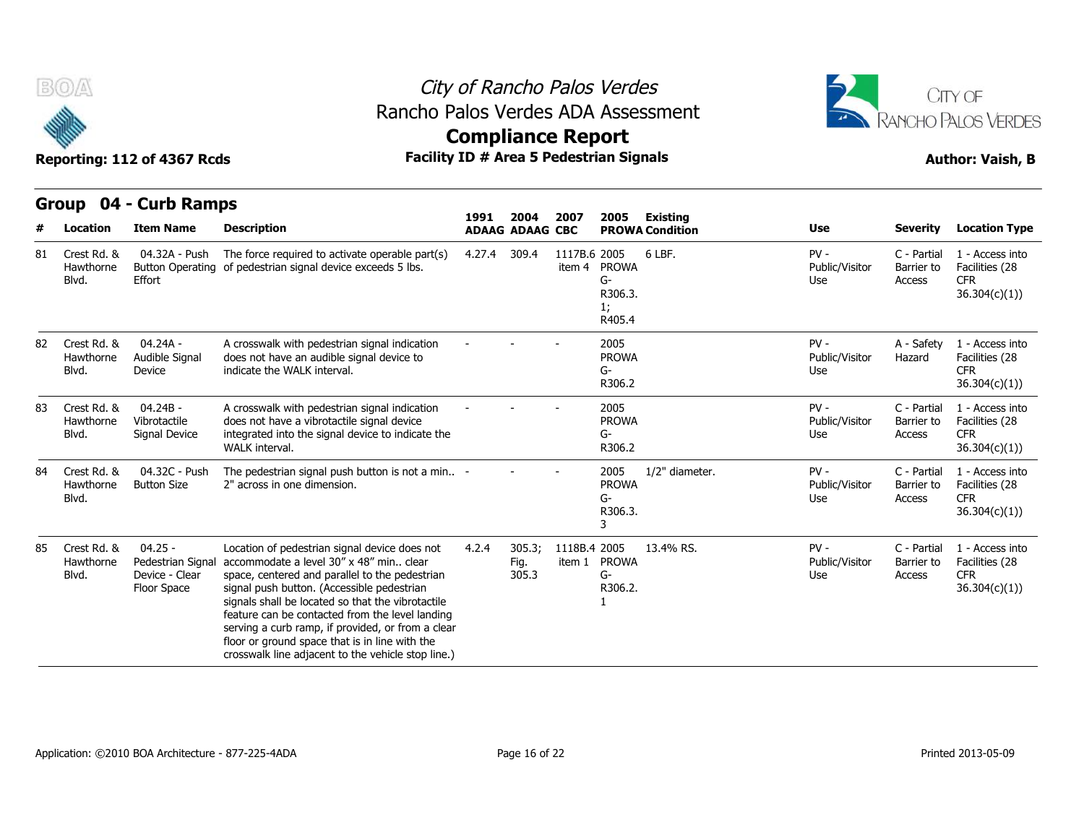

## City of Rancho Palos Verdes Rancho Palos Verdes ADA Assessment



|    | <b>vup</b>                        | <b>PAIR IMILIPS</b>                                             |                                                                                                                                                                                                                                                                                                                                                                                                                                                               | 1991   | 2004                    | 2007                   | 2005                                          | <b>Existing</b>        |                                 |                                     |                                                                 |
|----|-----------------------------------|-----------------------------------------------------------------|---------------------------------------------------------------------------------------------------------------------------------------------------------------------------------------------------------------------------------------------------------------------------------------------------------------------------------------------------------------------------------------------------------------------------------------------------------------|--------|-------------------------|------------------------|-----------------------------------------------|------------------------|---------------------------------|-------------------------------------|-----------------------------------------------------------------|
|    | Location                          | <b>Item Name</b>                                                | <b>Description</b>                                                                                                                                                                                                                                                                                                                                                                                                                                            |        | <b>ADAAG ADAAG CBC</b>  |                        |                                               | <b>PROWA Condition</b> | <b>Use</b>                      | <b>Severity</b>                     | <b>Location Type</b>                                            |
| 81 | Crest Rd. &<br>Hawthorne<br>Blvd. | 04.32A - Push<br><b>Button Operating</b><br>Effort              | The force required to activate operable part(s)<br>of pedestrian signal device exceeds 5 lbs.                                                                                                                                                                                                                                                                                                                                                                 | 4.27.4 | 309.4                   | 1117B.6 2005<br>item 4 | <b>PROWA</b><br>G-<br>R306.3.<br>1;<br>R405.4 | 6 LBF.                 | $PV -$<br>Public/Visitor<br>Use | C - Partial<br>Barrier to<br>Access | 1 - Access into<br>Facilities (28<br><b>CFR</b><br>36.304(c)(1) |
| 82 | Crest Rd, &<br>Hawthorne<br>Blvd. | 04.24A -<br>Audible Signal<br>Device                            | A crosswalk with pedestrian signal indication<br>does not have an audible signal device to<br>indicate the WALK interval.                                                                                                                                                                                                                                                                                                                                     |        |                         |                        | 2005<br><b>PROWA</b><br>G-<br>R306.2          |                        | $PV -$<br>Public/Visitor<br>Use | A - Safety<br>Hazard                | 1 - Access into<br>Facilities (28<br><b>CFR</b><br>36.304(c)(1) |
| 83 | Crest Rd, &<br>Hawthorne<br>Blvd. | $04.24B -$<br>Vibrotactile<br>Signal Device                     | A crosswalk with pedestrian signal indication<br>does not have a vibrotactile signal device<br>integrated into the signal device to indicate the<br><b>WALK</b> interval.                                                                                                                                                                                                                                                                                     |        |                         |                        | 2005<br><b>PROWA</b><br>G-<br>R306.2          |                        | $PV -$<br>Public/Visitor<br>Use | C - Partial<br>Barrier to<br>Access | 1 - Access into<br>Facilities (28<br><b>CFR</b><br>36.304(c)(1) |
| 84 | Crest Rd, &<br>Hawthorne<br>Blvd. | 04.32C - Push<br><b>Button Size</b>                             | The pedestrian signal push button is not a min -<br>2" across in one dimension.                                                                                                                                                                                                                                                                                                                                                                               |        |                         |                        | 2005<br><b>PROWA</b><br>G-<br>R306.3.         | 1/2" diameter.         | $PV -$<br>Public/Visitor<br>Use | C - Partial<br>Barrier to<br>Access | 1 - Access into<br>Facilities (28<br><b>CFR</b><br>36.304(c)(1) |
| 85 | Crest Rd. &<br>Hawthorne<br>Blvd. | $04.25 -$<br>Pedestrian Signal<br>Device - Clear<br>Floor Space | Location of pedestrian signal device does not<br>accommodate a level 30" x 48" min clear<br>space, centered and parallel to the pedestrian<br>signal push button. (Accessible pedestrian<br>signals shall be located so that the vibrotactile<br>feature can be contacted from the level landing<br>serving a curb ramp, if provided, or from a clear<br>floor or ground space that is in line with the<br>crosswalk line adjacent to the vehicle stop line.) | 4.2.4  | 305.3;<br>Fig.<br>305.3 | 1118B.4 2005<br>item 1 | <b>PROWA</b><br>G-<br>R306.2.                 | 13.4% RS.              | $PV -$<br>Public/Visitor<br>Use | C - Partial<br>Barrier to<br>Access | 1 - Access into<br>Facilities (28<br><b>CFR</b><br>36.304(c)(1) |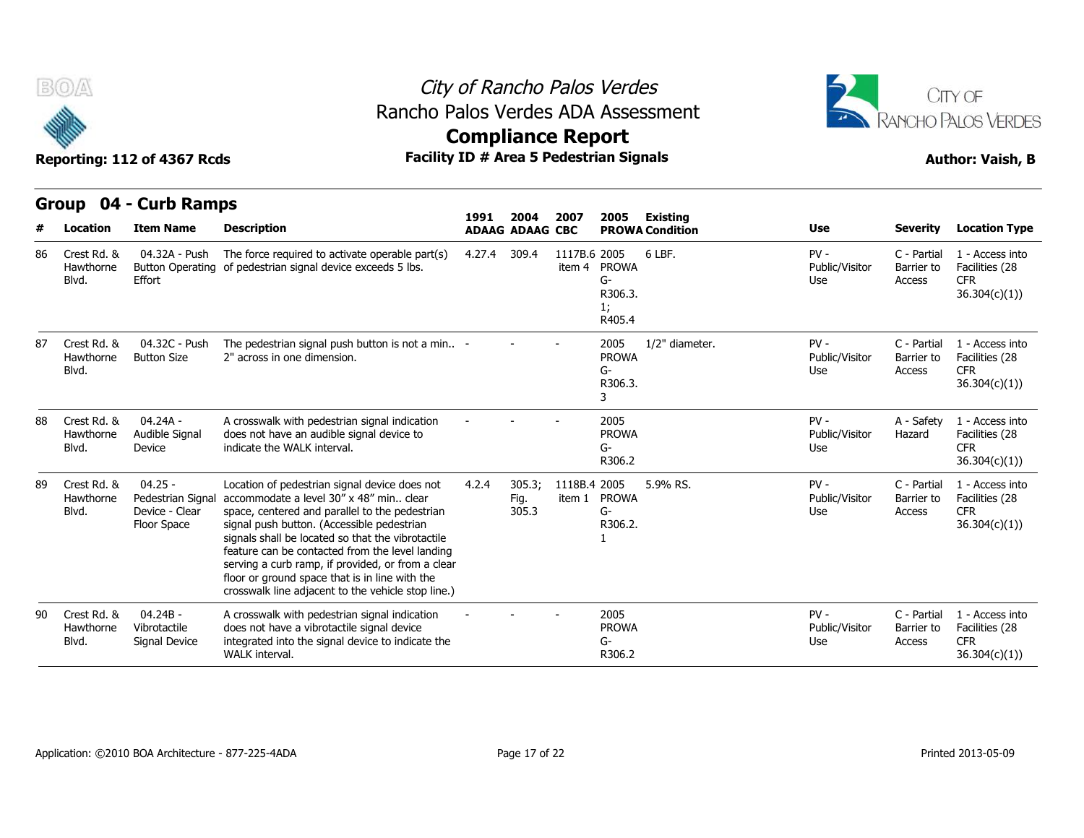

## City of Rancho Palos Verdes **Compliance Report** Rancho Palos Verdes ADA Assessment



Reporting: 112 of 4367 Rcds **Facility ID # Area 5 Pedestrian Signals Reporting: 112 of 4367 Rcds Author: Vaish, B** 

**Group 04 - Curb Ramps**

|    | u vup<br>VT.                      | <b>CALD KALLPS</b>                                              |                                                                                                                                                                                                                                                                                                                                                                                                                                                                 | 1991   | 2004                    | 2007                   | 2005                                          | <b>Existing</b>        |                                 |                                     |                                                                  |
|----|-----------------------------------|-----------------------------------------------------------------|-----------------------------------------------------------------------------------------------------------------------------------------------------------------------------------------------------------------------------------------------------------------------------------------------------------------------------------------------------------------------------------------------------------------------------------------------------------------|--------|-------------------------|------------------------|-----------------------------------------------|------------------------|---------------------------------|-------------------------------------|------------------------------------------------------------------|
|    | Location                          | <b>Item Name</b>                                                | <b>Description</b>                                                                                                                                                                                                                                                                                                                                                                                                                                              |        | <b>ADAAG ADAAG CBC</b>  |                        |                                               | <b>PROWA Condition</b> | Use                             | <b>Severity</b>                     | <b>Location Type</b>                                             |
| 86 | Crest Rd, &<br>Hawthorne<br>Blvd. | 04.32A - Push<br>Effort                                         | The force required to activate operable part(s)<br>Button Operating of pedestrian signal device exceeds 5 lbs.                                                                                                                                                                                                                                                                                                                                                  | 4.27.4 | 309.4                   | 1117B.6 2005<br>item 4 | <b>PROWA</b><br>G-<br>R306.3.<br>1;<br>R405.4 | 6 LBF.                 | $PV -$<br>Public/Visitor<br>Use | C - Partial<br>Barrier to<br>Access | 1 - Access into<br>Facilities (28<br><b>CFR</b><br>36.304(c)(1)  |
| 87 | Crest Rd, &<br>Hawthorne<br>Blvd. | 04.32C - Push<br><b>Button Size</b>                             | The pedestrian signal push button is not a min -<br>2" across in one dimension.                                                                                                                                                                                                                                                                                                                                                                                 |        |                         |                        | 2005<br><b>PROWA</b><br>G-<br>R306.3.<br>3    | 1/2" diameter.         | $PV -$<br>Public/Visitor<br>Use | C - Partial<br>Barrier to<br>Access | 1 - Access into<br>Facilities (28<br><b>CFR</b><br>36.304(c)(1)  |
| 88 | Crest Rd, &<br>Hawthorne<br>Blvd. | $04.24A -$<br>Audible Signal<br>Device                          | A crosswalk with pedestrian signal indication<br>does not have an audible signal device to<br>indicate the WALK interval.                                                                                                                                                                                                                                                                                                                                       |        |                         |                        | 2005<br><b>PROWA</b><br>G-<br>R306.2          |                        | $PV -$<br>Public/Visitor<br>Use | A - Safety<br>Hazard                | 1 - Access into<br>Facilities (28<br><b>CFR</b><br>36.304(c)(1)) |
| 89 | Crest Rd. &<br>Hawthorne<br>Blvd. | $04.25 -$<br>Pedestrian Signal<br>Device - Clear<br>Floor Space | Location of pedestrian signal device does not<br>accommodate a level 30" x 48" min., clear<br>space, centered and parallel to the pedestrian<br>signal push button. (Accessible pedestrian<br>signals shall be located so that the vibrotactile<br>feature can be contacted from the level landing<br>serving a curb ramp, if provided, or from a clear<br>floor or ground space that is in line with the<br>crosswalk line adjacent to the vehicle stop line.) | 4.2.4  | 305.3;<br>Fig.<br>305.3 | 1118B.4 2005<br>item 1 | <b>PROWA</b><br>G-<br>R306.2.                 | 5.9% RS.               | $PV -$<br>Public/Visitor<br>Use | C - Partial<br>Barrier to<br>Access | 1 - Access into<br>Facilities (28<br><b>CFR</b><br>36.304(c)(1)  |
| 90 | Crest Rd, &<br>Hawthorne<br>Blvd. | $04.24B -$<br>Vibrotactile<br>Signal Device                     | A crosswalk with pedestrian signal indication<br>does not have a vibrotactile signal device<br>integrated into the signal device to indicate the<br><b>WALK</b> interval.                                                                                                                                                                                                                                                                                       |        |                         |                        | 2005<br><b>PROWA</b><br>G-<br>R306.2          |                        | $PV -$<br>Public/Visitor<br>Use | C - Partial<br>Barrier to<br>Access | 1 - Access into<br>Facilities (28<br><b>CFR</b><br>36.304(c)(1)) |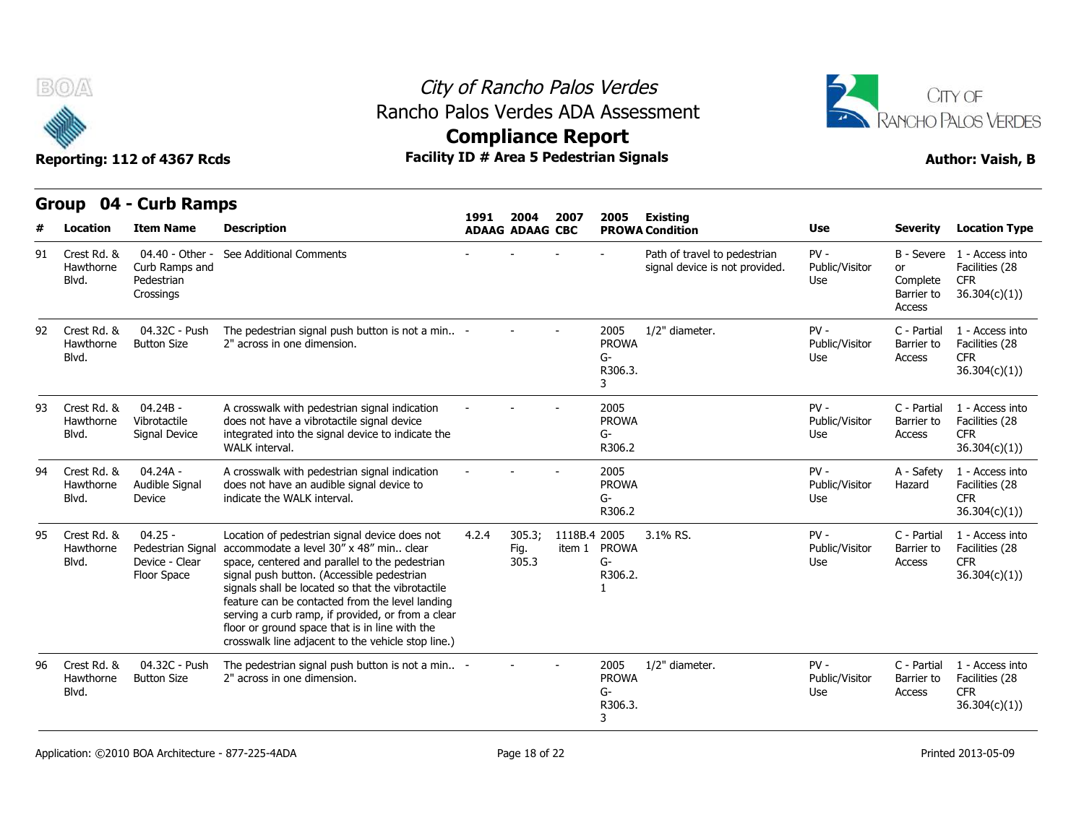

## City of Rancho Palos Verdes Rancho Palos Verdes ADA Assessment



|    |                                   | YWD IWIIIPY                                                     |                                                                                                                                                                                                                                                                                                                                                                                                                                                               | 1991                   | 2004                    | 2007         | 2005                                       | <b>Existing</b><br><b>PROWA Condition</b>                      | <b>Use</b>                      | <b>Severity</b>                               | <b>Location Type</b>                                                       |
|----|-----------------------------------|-----------------------------------------------------------------|---------------------------------------------------------------------------------------------------------------------------------------------------------------------------------------------------------------------------------------------------------------------------------------------------------------------------------------------------------------------------------------------------------------------------------------------------------------|------------------------|-------------------------|--------------|--------------------------------------------|----------------------------------------------------------------|---------------------------------|-----------------------------------------------|----------------------------------------------------------------------------|
|    | <b>Location</b>                   | <b>Item Name</b>                                                | <b>Description</b>                                                                                                                                                                                                                                                                                                                                                                                                                                            | <b>ADAAG ADAAG CBC</b> |                         |              |                                            |                                                                |                                 |                                               |                                                                            |
| 91 | Crest Rd. &<br>Hawthorne<br>Blvd. | 04.40 - Other -<br>Curb Ramps and<br>Pedestrian<br>Crossings    | See Additional Comments                                                                                                                                                                                                                                                                                                                                                                                                                                       |                        |                         |              |                                            | Path of travel to pedestrian<br>signal device is not provided. | $PV -$<br>Public/Visitor<br>Use | <b>or</b><br>Complete<br>Barrier to<br>Access | B - Severe 1 - Access into<br>Facilities (28<br><b>CFR</b><br>36.304(c)(1) |
| 92 | Crest Rd. &<br>Hawthorne<br>Blvd. | 04.32C - Push<br><b>Button Size</b>                             | The pedestrian signal push button is not a min -<br>2" across in one dimension.                                                                                                                                                                                                                                                                                                                                                                               |                        |                         |              | 2005<br><b>PROWA</b><br>G-<br>R306.3.<br>3 | 1/2" diameter.                                                 | $PV -$<br>Public/Visitor<br>Use | C - Partial<br>Barrier to<br>Access           | 1 - Access into<br>Facilities (28<br><b>CFR</b><br>36.304(c)(1)            |
| 93 | Crest Rd. &<br>Hawthorne<br>Blvd. | $04.24B -$<br>Vibrotactile<br>Signal Device                     | A crosswalk with pedestrian signal indication<br>does not have a vibrotactile signal device<br>integrated into the signal device to indicate the<br>WALK interval.                                                                                                                                                                                                                                                                                            |                        |                         |              | 2005<br><b>PROWA</b><br>$G-$<br>R306.2     |                                                                | PV-<br>Public/Visitor<br>Use    | C - Partial<br>Barrier to<br>Access           | 1 - Access into<br>Facilities (28<br><b>CFR</b><br>36.304(c)(1))           |
| 94 | Crest Rd. &<br>Hawthorne<br>Blvd. | 04.24A -<br>Audible Signal<br>Device                            | A crosswalk with pedestrian signal indication<br>does not have an audible signal device to<br>indicate the WALK interval.                                                                                                                                                                                                                                                                                                                                     |                        |                         |              | 2005<br><b>PROWA</b><br>G-<br>R306.2       |                                                                | $PV -$<br>Public/Visitor<br>Use | A - Safety<br>Hazard                          | 1 - Access into<br>Facilities (28<br><b>CFR</b><br>36.304(c)(1)            |
| 95 | Crest Rd. &<br>Hawthorne<br>Blvd. | $04.25 -$<br>Pedestrian Signal<br>Device - Clear<br>Floor Space | Location of pedestrian signal device does not<br>accommodate a level 30" x 48" min clear<br>space, centered and parallel to the pedestrian<br>signal push button. (Accessible pedestrian<br>signals shall be located so that the vibrotactile<br>feature can be contacted from the level landing<br>serving a curb ramp, if provided, or from a clear<br>floor or ground space that is in line with the<br>crosswalk line adjacent to the vehicle stop line.) | 4.2.4                  | 305.3;<br>Fig.<br>305.3 | 1118B.4 2005 | item 1 PROWA<br>$G-$<br>R306.2.            | 3.1% RS.                                                       | $PV -$<br>Public/Visitor<br>Use | C - Partial<br>Barrier to<br>Access           | 1 - Access into<br>Facilities (28<br><b>CFR</b><br>36.304(c)(1)            |
| 96 | Crest Rd. &<br>Hawthorne<br>Blvd. | 04.32C - Push<br><b>Button Size</b>                             | The pedestrian signal push button is not a min -<br>2" across in one dimension.                                                                                                                                                                                                                                                                                                                                                                               |                        |                         |              | 2005<br><b>PROWA</b><br>G-<br>R306.3.<br>3 | 1/2" diameter.                                                 | $PV -$<br>Public/Visitor<br>Use | C - Partial<br>Barrier to<br>Access           | 1 - Access into<br>Facilities (28<br><b>CFR</b><br>36.304(c)(1)            |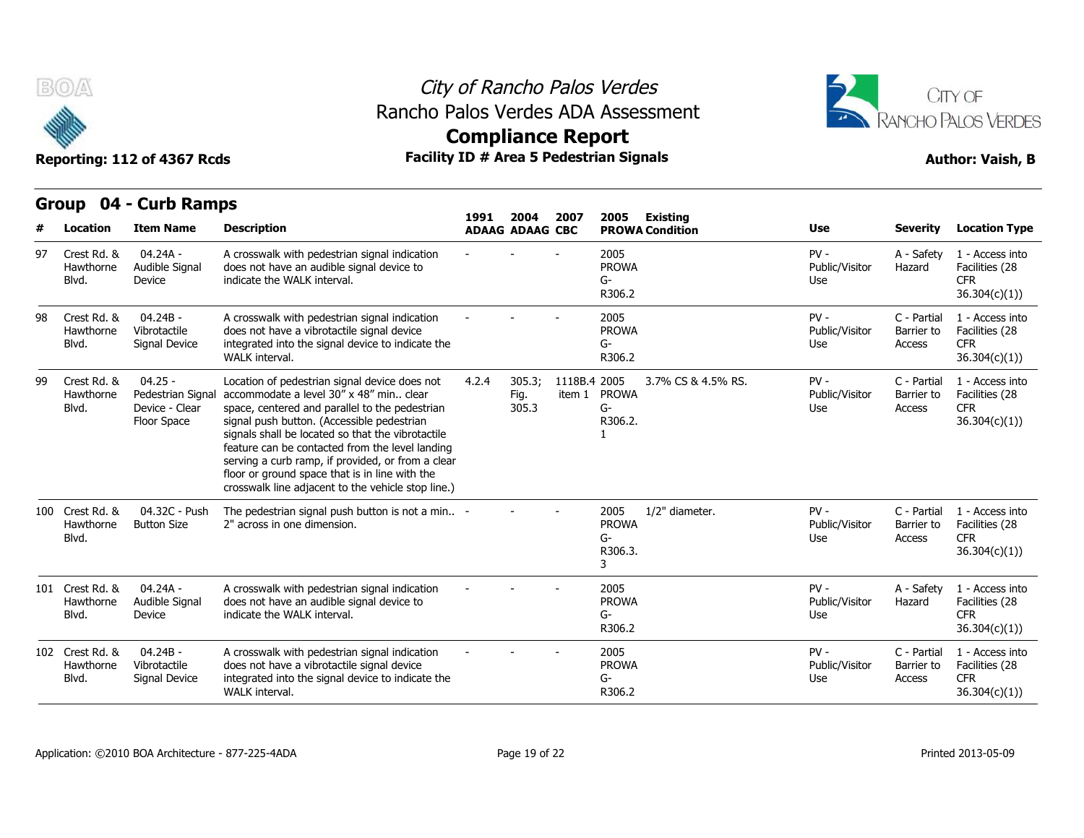



**Compliance Report**

|    |                                       | Group 04 - Curb Ramps                                          |                                                                                                                                                                                                                                                                                                                                                                                                                                                                 |       |                                |              |                                            |                                           |                                 |                                     |                                                                  |
|----|---------------------------------------|----------------------------------------------------------------|-----------------------------------------------------------------------------------------------------------------------------------------------------------------------------------------------------------------------------------------------------------------------------------------------------------------------------------------------------------------------------------------------------------------------------------------------------------------|-------|--------------------------------|--------------|--------------------------------------------|-------------------------------------------|---------------------------------|-------------------------------------|------------------------------------------------------------------|
| #  | <b>Location</b>                       | <b>Item Name</b>                                               | <b>Description</b>                                                                                                                                                                                                                                                                                                                                                                                                                                              | 1991  | 2004<br><b>ADAAG ADAAG CBC</b> | 2007         | 2005                                       | <b>Existing</b><br><b>PROWA Condition</b> | <b>Use</b>                      | <b>Severity</b>                     | <b>Location Type</b>                                             |
| 97 | Crest Rd, &<br>Hawthorne<br>Blvd.     | 04.24A -<br>Audible Signal<br>Device                           | A crosswalk with pedestrian signal indication<br>does not have an audible signal device to<br>indicate the WALK interval.                                                                                                                                                                                                                                                                                                                                       |       |                                |              | 2005<br><b>PROWA</b><br>G-<br>R306.2       |                                           | $PV -$<br>Public/Visitor<br>Use | A - Safety<br>Hazard                | 1 - Access into<br>Facilities (28<br><b>CFR</b><br>36.304(c)(1)  |
| 98 | Crest Rd. &<br>Hawthorne<br>Blvd.     | 04.24B -<br>Vibrotactile<br>Signal Device                      | A crosswalk with pedestrian signal indication<br>does not have a vibrotactile signal device<br>integrated into the signal device to indicate the<br>WALK interval.                                                                                                                                                                                                                                                                                              |       |                                |              | 2005<br><b>PROWA</b><br>G-<br>R306.2       |                                           | $PV -$<br>Public/Visitor<br>Use | C - Partial<br>Barrier to<br>Access | 1 - Access into<br>Facilities (28<br><b>CFR</b><br>36.304(c)(1)) |
| 99 | Crest Rd. &<br>Hawthorne<br>Blvd.     | $04.25 -$<br>Pedestrian Signa<br>Device - Clear<br>Floor Space | Location of pedestrian signal device does not<br>accommodate a level 30" x 48" min., clear<br>space, centered and parallel to the pedestrian<br>signal push button. (Accessible pedestrian<br>signals shall be located so that the vibrotactile<br>feature can be contacted from the level landing<br>serving a curb ramp, if provided, or from a clear<br>floor or ground space that is in line with the<br>crosswalk line adjacent to the vehicle stop line.) | 4.2.4 | 305.3;<br>Fig.<br>305.3        | 1118B.4 2005 | item 1 PROWA<br>$G-$<br>R306.2.            | 3.7% CS & 4.5% RS.                        | $PV -$<br>Public/Visitor<br>Use | C - Partial<br>Barrier to<br>Access | 1 - Access into<br>Facilities (28<br><b>CFR</b><br>36.304(c)(1)  |
|    | 100 Crest Rd. &<br>Hawthorne<br>Blvd. | 04.32C - Push<br><b>Button Size</b>                            | The pedestrian signal push button is not a min -<br>2" across in one dimension.                                                                                                                                                                                                                                                                                                                                                                                 |       |                                |              | 2005<br><b>PROWA</b><br>G-<br>R306.3.<br>3 | 1/2" diameter.                            | $PV -$<br>Public/Visitor<br>Use | C - Partial<br>Barrier to<br>Access | 1 - Access into<br>Facilities (28<br><b>CFR</b><br>36.304(c)(1)  |
|    | 101 Crest Rd. &<br>Hawthorne<br>Blvd. | $04.24A -$<br>Audible Signal<br>Device                         | A crosswalk with pedestrian signal indication<br>does not have an audible signal device to<br>indicate the WALK interval.                                                                                                                                                                                                                                                                                                                                       |       |                                |              | 2005<br><b>PROWA</b><br>G-<br>R306.2       |                                           | $PV -$<br>Public/Visitor<br>Use | A - Safety<br>Hazard                | 1 - Access into<br>Facilities (28<br><b>CFR</b><br>36.304(c)(1)  |
|    | 102 Crest Rd. &<br>Hawthorne<br>Blvd. | $04.24B -$<br>Vibrotactile<br>Signal Device                    | A crosswalk with pedestrian signal indication<br>does not have a vibrotactile signal device<br>integrated into the signal device to indicate the<br>WALK interval.                                                                                                                                                                                                                                                                                              |       |                                |              | 2005<br><b>PROWA</b><br>G-<br>R306.2       |                                           | $PV -$<br>Public/Visitor<br>Use | C - Partial<br>Barrier to<br>Access | 1 - Access into<br>Facilities (28<br><b>CFR</b><br>36.304(c)(1)) |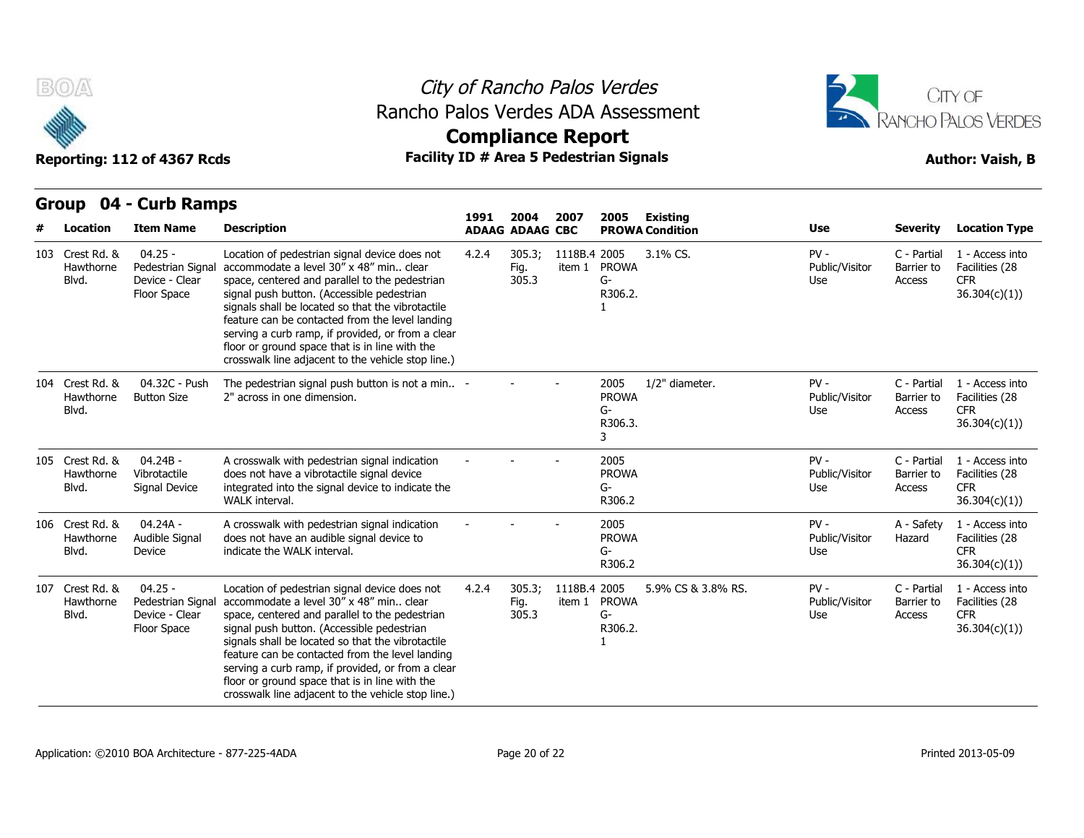



# **Compliance Report**

## **Group 04 - Curb Ramps Item Name Description 1991 ADAAG 2004 ADAAG CBC PROWA 2007 2005 Existing # Location Condition Use Severity Location Type** 04.25 - Hawthorne Pedestrian Signal accommodate a level 30" x 48" min.. clear Device - Clear Floor Space signal push button. (Accessible pedestrian Location of pedestrian signal device does not 4.2.4 305.3: space, centered and parallel to the pedestrian signals shall be located so that the vibrotactile feature can be contacted from the level landing serving a curb ramp, if provided, or from a clear floor or ground space that is in line with the crosswalk line adjacent to the vehicle stop line.) 4.2.4 305.3; 1118B.4 Fig. item 1 PROWA 305.3 2005 3.1% CS. PV - G-R306.2. 1 Public/Visitor Barrier to Use Access C - Partial 1 - Access into Barrier to Facilities (28 CFR 36.304(c)(1)) Blvd. 04.32C - Push Button Size 2" across in one dimension. The pedestrian signal push button is not a min.. 2" across in one dimension. - - - <sup>2005</sup> PROWA G-R306.3. 3 1/2" diameter. The Review PV - The C - Partial Public/Visitor Barrier to Use Access C - Partial 1 - Access into Barrier to Facilities (28 CFR 36.304(c)(1)) Example 1944 Current Ram<br>
103 Crest Rd. & 04.25<br>
Hawthorne Pedestrian<br>
Blvd. Device - Cle<br>
Floor Space<br>
104 Crest Rd. & 04.32C - I<br>
Hawthorne Button Size<br>
Blvd. Hawthorne Blvd. 04.24B - Vibrotactile Signal Device integrated into the signal device to indicate the A crosswalk with pedestrian signal indication does not have a vibrotactile signal device WALK interval. - - - <sup>2005</sup> PROWA G-R306.2 PV - C - Partial Public/Visitor Use Access C - Partial 1 - Access into Barrier to Facilities (28 CFR 36.304(c)(1)) Floor Space<br>
Floor Space<br>
104 Crest Rd. & 04.32C - I<br>
Hawthorne Button Size<br>
Blvd.<br>
105 Crest Rd. & 04.24B -<br>
Hawthorne Vibrotactile<br>
Blvd. Signal Devi Hawthorne Blvd. Signal Device 04.24A - Hawthorne Audible Signal does not Device indicate the WALK interval. A crosswalk with pedestrian signal indication does not have an audible signal device to indicate the WALK interval. - - - <sup>2005</sup> PROWA G-R306.2 PV - A - Safety Public/Visitor Hazard Use A - Safety 1 - Access into Hazard Facilities (28 CFR 36.304(c)(1)) 104 Crest Rd. & 04.32C - I<br>
Hawthorne Button Size<br>
Blvd.<br>
105 Crest Rd. & 04.24B -<br>
Hawthorne Vibrotactile<br>
Blvd. Signal Devi<br>
106 Crest Rd. & 04.24A -<br>
Hawthorne Audible Signal Devi<br>
Blvd. Device Blvd. 04.25 - Hawthorne Pedestrian Signal accommodate a level 30" x 48" min.. clear Device - Clear Floor Space signal push button. (Accessible pedestrian Location of pedestrian signal device does not 4.2.4 305.3; space, centered and parallel to the pedestrian signals shall be located so that the vibrotactile feature can be contacted from the level landing serving a curb ramp, if provided, or from a clear floor or ground space that is in line with the crosswalk line adjacent to the vehicle stop line.) 4.2.4 305.3; 1118B.4 Fig. item 1 PROWA 305.3 2005 5.9% CS & 3.8% RS. PV - G-R306.2. 1 Public/Visitor Barrier to Use Access C - Partial 1 - Access into Barrier to Facilities (28 CFR 36.304(c)(1)) Movie<br>
105 Crest Rd. & 04.24B -<br>
Hawthorne Vibrotactile<br>
Blvd. Signal Devi<br>
106 Crest Rd. & 04.24A -<br>
Hawthorne Audible Signal Device<br>
107 Crest Rd. & 04.25 -<br>
Hawthorne Pedestrian<br>
Blvd. Device - Cle<br>
Elor Snace Blvd.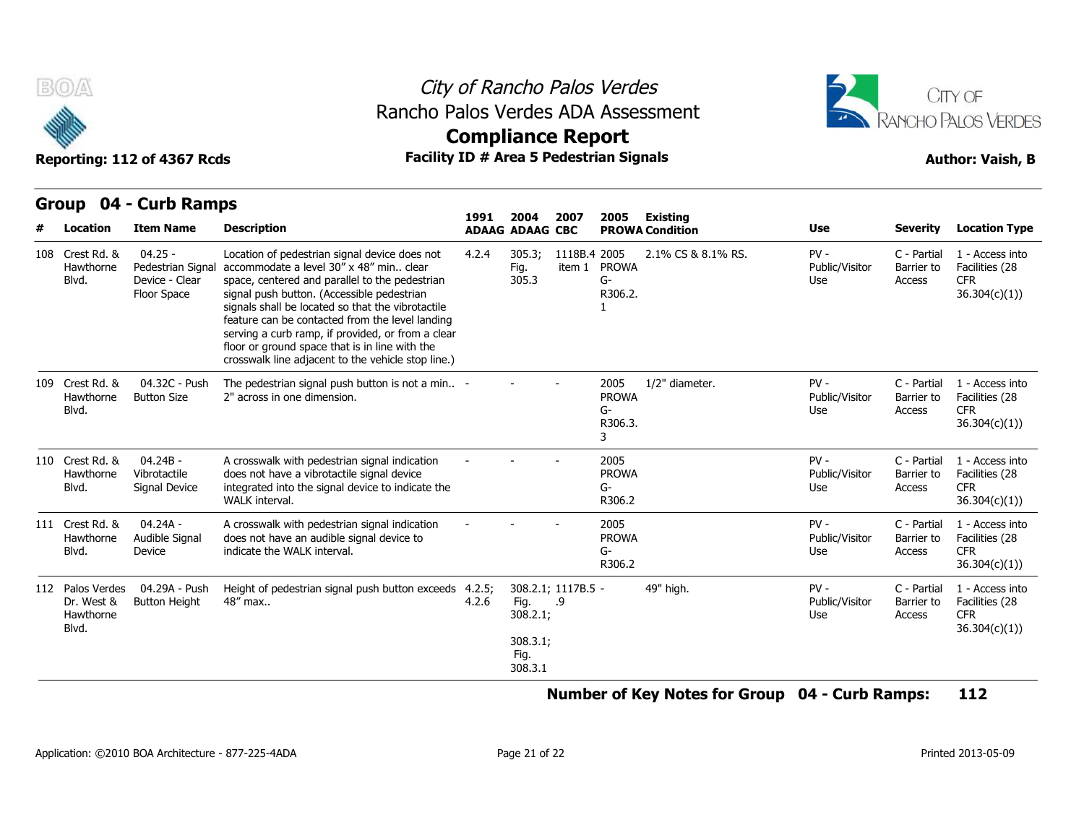

## City of Rancho Palos Verdes Rancho Palos Verdes ADA Assessment



Reporting: 112 of 4367 Rcds **Facility ID # Area 5 Pedestrian Signals Facility ID # Area 5 Pedestrian Signals Author: Vaish, B Compliance Report**

| urvup<br>דש - |                                                      | <b>CALD RAILIPS</b>                                             |                                                                                                                                                                                                                                                                                                                                                                                                                                                                 | 1991            | 2004                                            | 2007                     | 2005                                       | Existing               |                                 |                                     |                                                                  |
|---------------|------------------------------------------------------|-----------------------------------------------------------------|-----------------------------------------------------------------------------------------------------------------------------------------------------------------------------------------------------------------------------------------------------------------------------------------------------------------------------------------------------------------------------------------------------------------------------------------------------------------|-----------------|-------------------------------------------------|--------------------------|--------------------------------------------|------------------------|---------------------------------|-------------------------------------|------------------------------------------------------------------|
|               | Location                                             | <b>Item Name</b>                                                | <b>Description</b>                                                                                                                                                                                                                                                                                                                                                                                                                                              |                 | <b>ADAAG ADAAG CBC</b>                          |                          |                                            | <b>PROWA Condition</b> | <b>Use</b>                      | <b>Severity</b>                     | <b>Location Type</b>                                             |
|               | 108 Crest Rd. &<br>Hawthorne<br>Blvd.                | $04.25 -$<br>Pedestrian Signal<br>Device - Clear<br>Floor Space | Location of pedestrian signal device does not<br>accommodate a level 30" x 48" min., clear<br>space, centered and parallel to the pedestrian<br>signal push button. (Accessible pedestrian<br>signals shall be located so that the vibrotactile<br>feature can be contacted from the level landing<br>serving a curb ramp, if provided, or from a clear<br>floor or ground space that is in line with the<br>crosswalk line adjacent to the vehicle stop line.) | 4.2.4           | 305.3;<br>Fig.<br>305.3                         | 1118B.4 2005<br>item 1   | <b>PROWA</b><br>G-<br>R306.2.              | 2.1% CS & 8.1% RS.     | $PV -$<br>Public/Visitor<br>Use | C - Partial<br>Barrier to<br>Access | 1 - Access into<br>Facilities (28<br><b>CFR</b><br>36.304(c)(1)  |
|               | 109 Crest Rd. &<br>Hawthorne<br>Blvd.                | 04.32C - Push<br><b>Button Size</b>                             | The pedestrian signal push button is not a min -<br>2" across in one dimension.                                                                                                                                                                                                                                                                                                                                                                                 |                 |                                                 |                          | 2005<br><b>PROWA</b><br>G-<br>R306.3.<br>3 | 1/2" diameter.         | $PV -$<br>Public/Visitor<br>Use | C - Partial<br>Barrier to<br>Access | 1 - Access into<br>Facilities (28<br><b>CFR</b><br>36.304(c)(1)  |
|               | 110 Crest Rd. &<br>Hawthorne<br>Blvd.                | $04.24B -$<br>Vibrotactile<br>Signal Device                     | A crosswalk with pedestrian signal indication<br>does not have a vibrotactile signal device<br>integrated into the signal device to indicate the<br>WALK interval.                                                                                                                                                                                                                                                                                              |                 |                                                 |                          | 2005<br><b>PROWA</b><br>G-<br>R306.2       |                        | $PV -$<br>Public/Visitor<br>Use | C - Partial<br>Barrier to<br>Access | 1 - Access into<br>Facilities (28<br><b>CFR</b><br>36.304(c)(1)  |
|               | 111 Crest Rd. &<br>Hawthorne<br>Blvd.                | 04.24A -<br>Audible Signal<br>Device                            | A crosswalk with pedestrian signal indication<br>does not have an audible signal device to<br>indicate the WALK interval.                                                                                                                                                                                                                                                                                                                                       |                 |                                                 |                          | 2005<br><b>PROWA</b><br>G-<br>R306.2       |                        | $PV -$<br>Public/Visitor<br>Use | C - Partial<br>Barrier to<br>Access | 1 - Access into<br>Facilities (28<br><b>CFR</b><br>36.304(c)(1)  |
|               | 112 Palos Verdes<br>Dr. West &<br>Hawthorne<br>Blvd. | 04.29A - Push<br><b>Button Height</b>                           | Height of pedestrian signal push button exceeds<br>48" max                                                                                                                                                                                                                                                                                                                                                                                                      | 4.2.5;<br>4.2.6 | Fig.<br>308.2.1;<br>308.3.1;<br>Fig.<br>308.3.1 | 308.2.1; 1117B.5 -<br>.9 |                                            | 49" high.              | $PV -$<br>Public/Visitor<br>Use | C - Partial<br>Barrier to<br>Access | 1 - Access into<br>Facilities (28<br><b>CFR</b><br>36.304(c)(1)) |

## **Number of Key Notes for Group 04 - Curb Ramps: 112**